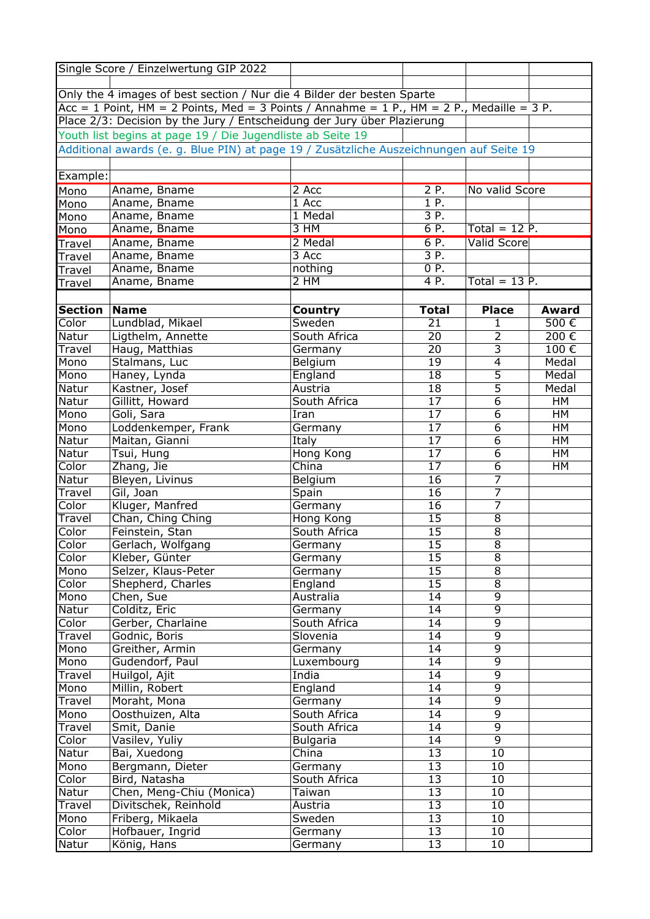|                | Single Score / Einzelwertung GIP 2022                                                     |                 |                   |                    |           |
|----------------|-------------------------------------------------------------------------------------------|-----------------|-------------------|--------------------|-----------|
|                |                                                                                           |                 |                   |                    |           |
|                | Only the 4 images of best section / Nur die 4 Bilder der besten Sparte                    |                 |                   |                    |           |
|                | Acc = 1 Point, HM = 2 Points, Med = 3 Points / Annahme = 1 P., HM = 2 P., Medaille = 3 P. |                 |                   |                    |           |
|                | Place 2/3: Decision by the Jury / Entscheidung der Jury über Plazierung                   |                 |                   |                    |           |
|                | Youth list begins at page 19 / Die Jugendliste ab Seite 19                                |                 |                   |                    |           |
|                | Additional awards (e. g. Blue PIN) at page 19 / Zusätzliche Auszeichnungen auf Seite 19   |                 |                   |                    |           |
|                |                                                                                           |                 |                   |                    |           |
| Example:       |                                                                                           |                 |                   |                    |           |
| Mono           | Aname, Bname                                                                              | 2 Acc           | 2P.               | No valid Score     |           |
| Mono           | Aname, Bname                                                                              | 1 Acc           | 1 P.              |                    |           |
| Mono           | Aname, Bname                                                                              | $1$ Medal       | 3 P.              |                    |           |
| Mono           | Aname, Bname                                                                              | 3 HM            | 6 P.              | Total = $12$ P.    |           |
| Travel         | Aname, Bname                                                                              | 2 Medal         | 6 P.              | <b>Valid Score</b> |           |
| Travel         | Aname, Bname                                                                              | 3 Acc           | 3P.               |                    |           |
| Travel         | Aname, Bname                                                                              | nothing         | $\overline{0}$ P. |                    |           |
| Travel         | Aname, Bname                                                                              | 2 HM            | 4 P.              | Total = $13P$ .    |           |
|                |                                                                                           |                 |                   |                    |           |
| <b>Section</b> | <b>Name</b>                                                                               | Country         | <b>Total</b>      | <b>Place</b>       | Award     |
| Color          | Lundblad, Mikael                                                                          | Sweden          | 21                | $\mathbf{1}$       | 500€      |
| Natur          | Ligthelm, Annette                                                                         | South Africa    | 20                | $\overline{2}$     | 200€      |
| Travel         | Haug, Matthias                                                                            | Germany         | 20                | $\overline{3}$     | 100€      |
| Mono           | Stalmans, Luc                                                                             | Belgium         | 19                | $\overline{4}$     | Medal     |
| Mono           | Haney, Lynda                                                                              | England         | 18                | $\overline{5}$     | Medal     |
| Natur          | Kastner, Josef                                                                            | Austria         | 18                | $\overline{5}$     | Medal     |
| Natur          | Gillitt, Howard                                                                           | South Africa    | $\overline{17}$   | $\overline{6}$     | HM        |
| Mono           | Goli, Sara                                                                                | Iran            | $\overline{17}$   | $\overline{6}$     | HM        |
| Mono           | Loddenkemper, Frank                                                                       | Germany         | $\overline{17}$   | $\overline{6}$     | HM        |
| Natur          | Maitan, Gianni                                                                            | Italy           | $\overline{17}$   | $\overline{6}$     | HM        |
| Natur          | Tsui, Hung                                                                                | Hong Kong       | 17                | $\overline{6}$     | <b>HM</b> |
| Color          | Zhang, Jie                                                                                | China           | 17                | $\overline{6}$     | HM        |
| Natur          | Bleyen, Livinus                                                                           | Belgium         | 16                | $\overline{7}$     |           |
| Travel         | Gil, Joan                                                                                 | Spain           | $\overline{16}$   | $\overline{7}$     |           |
| Color          | Kluger, Manfred                                                                           | Germany         | 16                | $\overline{7}$     |           |
| Travel         | Chan, Ching Ching                                                                         | Hong Kong       | $\overline{15}$   | $\overline{8}$     |           |
| Color          | Feinstein, Stan                                                                           | South Africa    | $\overline{15}$   | $\overline{8}$     |           |
| Color          | Gerlach, Wolfgang                                                                         | Germany         | 15                | $\overline{8}$     |           |
| Color          | Kleber, Günter                                                                            | Germany         | 15                | 8                  |           |
| Mono           | Selzer, Klaus-Peter                                                                       | Germany         | $\overline{15}$   | $\overline{8}$     |           |
| Color          | Shepherd, Charles                                                                         | England         | 15                | $\overline{8}$     |           |
| Mono           | Chen, Sue                                                                                 | Australia       | 14                | $\overline{9}$     |           |
| Natur          | Colditz, Eric                                                                             | Germany         | 14                | $\overline{9}$     |           |
| Color          | Gerber, Charlaine                                                                         | South Africa    | 14                | $\overline{9}$     |           |
| Travel         | Godnic, Boris                                                                             | Slovenia        | 14                | $\overline{9}$     |           |
| Mono           | Greither, Armin                                                                           | Germany         | 14                | $\overline{9}$     |           |
| Mono           | Gudendorf, Paul                                                                           | Luxembourg      | 14                | $\overline{9}$     |           |
| Travel         | Huilgol, Ajit                                                                             | India           | 14                | $\overline{9}$     |           |
| Mono           | Millin, Robert                                                                            | England         | 14                | $\overline{9}$     |           |
| Travel         | Moraht, Mona                                                                              | Germany         | 14                | $\overline{9}$     |           |
| Mono           | Oosthuizen, Alta                                                                          | South Africa    | 14                | $\overline{9}$     |           |
| Travel         | Smit, Danie                                                                               | South Africa    | 14                | $\overline{9}$     |           |
| Color          | Vasilev, Yuliy                                                                            | <b>Bulgaria</b> | 14                | $\overline{9}$     |           |
| Natur          | Bai, Xuedong                                                                              | China           | 13                | 10                 |           |
| Mono           | Bergmann, Dieter                                                                          | Germany         | 13                | 10                 |           |
| Color          | Bird, Natasha                                                                             | South Africa    | 13                | 10                 |           |
| Natur          | Chen, Meng-Chiu (Monica)                                                                  | Taiwan          | 13                | 10                 |           |
| Travel         | Divitschek, Reinhold                                                                      | Austria         | 13                | 10                 |           |
| Mono           | Friberg, Mikaela                                                                          | Sweden          | 13                | 10                 |           |
| Color          | Hofbauer, Ingrid                                                                          | Germany         | 13                | 10                 |           |
| Natur          | König, Hans                                                                               | Germany         | $\overline{13}$   | 10                 |           |
|                |                                                                                           |                 |                   |                    |           |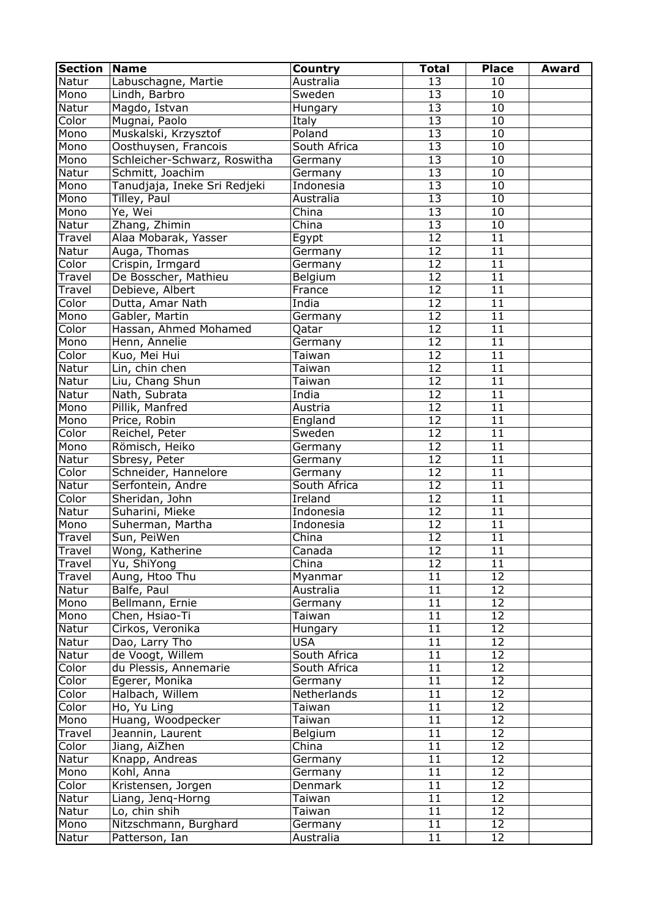| <b>Section</b> | <b>Name</b>                  | Country      | <b>Total</b>    | <b>Place</b>    | <b>Award</b> |
|----------------|------------------------------|--------------|-----------------|-----------------|--------------|
| Natur          | Labuschagne, Martie          | Australia    | 13              | 10              |              |
| Mono           | Lindh, Barbro                | Sweden       | 13              | 10              |              |
| Natur          | Magdo, Istvan                | Hungary      | 13              | 10              |              |
| Color          | Mugnai, Paolo                | Italy        | 13              | 10              |              |
| Mono           | Muskalski, Krzysztof         | Poland       | $\overline{13}$ | 10              |              |
| Mono           | Oosthuysen, Francois         | South Africa | $\overline{13}$ | 10              |              |
| Mono           | Schleicher-Schwarz, Roswitha | Germany      | $\overline{13}$ | $\overline{10}$ |              |
| Natur          | Schmitt, Joachim             | Germany      | $\overline{13}$ | $\overline{10}$ |              |
| Mono           | Tanudjaja, Ineke Sri Redjeki | Indonesia    | $\overline{13}$ | $\overline{10}$ |              |
| Mono           | Tilley, Paul                 | Australia    | $\overline{13}$ | 10              |              |
| Mono           | Ye, Wei                      | China        | $\overline{13}$ | 10              |              |
| Natur          | Zhang, Zhimin                | China        | $\overline{13}$ | 10              |              |
| Travel         | Alaa Mobarak, Yasser         | Egypt        | $\overline{12}$ | $\overline{11}$ |              |
| Natur          | Auga, Thomas                 | Germany      | $\overline{12}$ | $\overline{11}$ |              |
| Color          | Crispin, Irmgard             | Germany      | $\overline{12}$ | 11              |              |
| Travel         | De Bosscher, Mathieu         | Belgium      | $\overline{12}$ | 11              |              |
| Travel         | Debieve, Albert              | France       | $\overline{12}$ | $\overline{11}$ |              |
| Color          | Dutta, Amar Nath             | India        | $\overline{12}$ | 11              |              |
| Mono           | Gabler, Martin               | Germany      | $\overline{12}$ | 11              |              |
| Color          | Hassan, Ahmed Mohamed        | Qatar        | $\overline{12}$ | 11              |              |
| Mono           | Henn, Annelie                | Germany      | $\overline{12}$ | 11              |              |
| Color          | Kuo, Mei Hui                 | Taiwan       | $\overline{12}$ | 11              |              |
| Natur          | Lin, chin chen               | Taiwan       | 12              | 11              |              |
| Natur          | Liu, Chang Shun              | Taiwan       | $\overline{12}$ | 11              |              |
| Natur          | Nath, Subrata                | India        | $\overline{12}$ | $\overline{11}$ |              |
| Mono           | Pillik, Manfred              | Austria      | $\overline{12}$ | 11              |              |
| Mono           | Price, Robin                 | England      | $\overline{12}$ | 11              |              |
| Color          | Reichel, Peter               | Sweden       | $\overline{12}$ | 11              |              |
|                |                              |              | $\overline{12}$ | 11              |              |
| Mono           | Römisch, Heiko               | Germany      | $\overline{12}$ |                 |              |
| Natur          | Sbresy, Peter                | Germany      |                 | 11              |              |
| Color          | Schneider, Hannelore         | Germany      | $\overline{12}$ | 11              |              |
| Natur          | Serfontein, Andre            | South Africa | $\overline{12}$ | 11              |              |
| Color          | Sheridan, John               | Ireland      | $\overline{12}$ | 11              |              |
| Natur          | Suharini, Mieke              | Indonesia    | $\overline{12}$ | 11              |              |
| Mono           | Suherman, Martha             | Indonesia    | $\overline{12}$ | 11              |              |
| Travel         | Sun, PeiWen                  | China        | $\overline{12}$ | 11              |              |
| Travel         | Wong, Katherine              | Canada       | 12              | $\overline{11}$ |              |
| Travel         | Yu, ShiYong                  | China        | $\overline{12}$ | 11              |              |
| Travel         | Aung, Htoo Thu               | Myanmar      | 11              | 12              |              |
| Natur          | Balfe, Paul                  | Australia    | 11              | 12              |              |
| Mono           | Bellmann, Ernie              | Germany      | 11              | $\overline{12}$ |              |
| Mono           | Chen, Hsiao-Ti               | Taiwan       | 11              | $\overline{12}$ |              |
| Natur          | Cirkos, Veronika             | Hungary      | $\overline{11}$ | $\overline{12}$ |              |
| Natur          | Dao, Larry Tho               | <b>USA</b>   | 11              | 12              |              |
| Natur          | de Voogt, Willem             | South Africa | 11              | 12              |              |
| Color          | du Plessis, Annemarie        | South Africa | 11              | 12              |              |
| Color          | Egerer, Monika               | Germany      | 11              | 12              |              |
| Color          | Halbach, Willem              | Netherlands  | 11              | 12              |              |
| Color          | Ho, Yu Ling                  | Taiwan       | 11              | 12              |              |
| Mono           | Huang, Woodpecker            | Taiwan       | 11              | 12              |              |
| Travel         | Jeannin, Laurent             | Belgium      | 11              | 12              |              |
| Color          | Jiang, AiZhen                | China        | 11              | 12              |              |
| Natur          | Knapp, Andreas               | Germany      | 11              | 12              |              |
| Mono           | Kohl, Anna                   | Germany      | 11              | 12              |              |
| Color          | Kristensen, Jorgen           | Denmark      | 11              | 12              |              |
| Natur          | Liang, Jenq-Horng            | Taiwan       | 11              | 12              |              |
| Natur          | Lo, chin shih                | Taiwan       | 11              | 12              |              |
| Mono           | Nitzschmann, Burghard        | Germany      | 11              | 12              |              |
| Natur          | Patterson, Ian               | Australia    | 11              | 12              |              |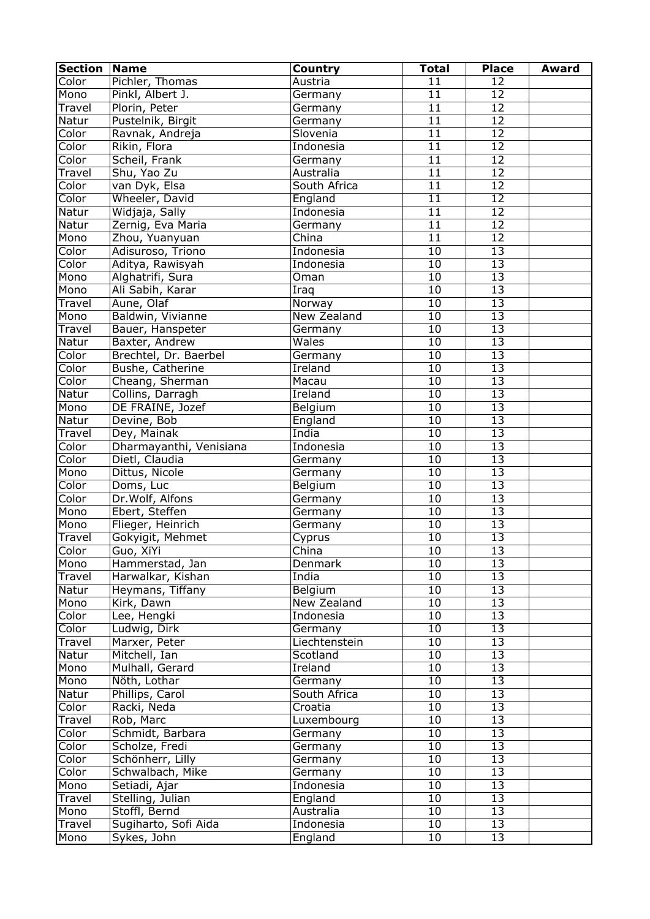| <b>Section</b> | <b>Name</b>             | <b>Country</b>  | <b>Total</b>    | <b>Place</b>    | <b>Award</b> |
|----------------|-------------------------|-----------------|-----------------|-----------------|--------------|
| Color          | Pichler, Thomas         | Austria         | 11              | 12              |              |
| Mono           | Pinkl, Albert J.        | Germany         | 11              | 12              |              |
| Travel         | Plorin, Peter           | Germany         | 11              | 12              |              |
| Natur          | Pustelnik, Birgit       | Germany         | $\overline{11}$ | 12              |              |
| Color          | Ravnak, Andreja         | Slovenia        | 11              | $\overline{12}$ |              |
| Color          | Rikin, Flora            | Indonesia       | $\overline{11}$ | $\overline{12}$ |              |
| Color          | Scheil, Frank           | Germany         | 11              | $\overline{12}$ |              |
| Travel         | Shu, Yao Zu             | Australia       | 11              | $\overline{12}$ |              |
| Color          | van Dyk, Elsa           | South Africa    | 11              | $\overline{12}$ |              |
| Color          | Wheeler, David          | England         | 11              | $\overline{12}$ |              |
| Natur          | Widjaja, Sally          | Indonesia       | $\overline{11}$ | $\overline{12}$ |              |
| Natur          | Zernig, Eva Maria       | Germany         | 11              | 12              |              |
| Mono           | Zhou, Yuanyuan          | China           | 11              | 12              |              |
| Color          | Adisuroso, Triono       | Indonesia       | $\overline{10}$ | 13              |              |
| Color          | Aditya, Rawisyah        | Indonesia       | $\overline{10}$ | 13              |              |
| Mono           | Alghatrifi, Sura        | Oman            | $\overline{10}$ | 13              |              |
| Mono           | Ali Sabih, Karar        | Iraq            | $\overline{10}$ | $\overline{13}$ |              |
| Travel         | Aune, Olaf              | Norway          | 10              | 13              |              |
| Mono           | Baldwin, Vivianne       | New Zealand     | $\overline{10}$ | 13              |              |
| Travel         | Bauer, Hanspeter        | Germany         | 10              | 13              |              |
| Natur          | Baxter, Andrew          | Wales           | 10              | 13              |              |
| Color          | Brechtel, Dr. Baerbel   | Germany         | 10              | 13              |              |
| Color          | Bushe, Catherine        | Ireland         | 10              | 13              |              |
| Color          | Cheang, Sherman         | Macau           | 10              | 13              |              |
| Natur          | Collins, Darragh        | Ireland         | 10              | 13              |              |
| Mono           | DE FRAINE, Jozef        | Belgium         | 10              | 13              |              |
| Natur          | Devine, Bob             | England         | 10              | 13              |              |
| Travel         | Dey, Mainak             | India           | 10              | 13              |              |
| Color          | Dharmayanthi, Venisiana | Indonesia       | 10              | 13              |              |
| Color          | Dietl, Claudia          | Germany         | $\overline{10}$ | $\overline{13}$ |              |
| Mono           | Dittus, Nicole          | Germany         | 10              | 13              |              |
| Color          | Doms, Luc               | Belgium         | 10              | 13              |              |
| Color          | Dr.Wolf, Alfons         | Germany         | $\overline{10}$ | 13              |              |
| Mono           | Ebert, Steffen          | Germany         | 10              | 13              |              |
| Mono           | Flieger, Heinrich       | Germany         | 10              | 13              |              |
| Travel         | Gokyigit, Mehmet        |                 | 10              | $\overline{13}$ |              |
| Color          | Guo, XiYi               | Cyprus<br>China | 10              | 13              |              |
|                |                         |                 | 10              | $\overline{13}$ |              |
| Mono           | Hammerstad, Jan         | Denmark         | 10              | 13              |              |
| Travel         | Harwalkar, Kishan       | India           |                 |                 |              |
| Natur          | Heymans, Tiffany        | Belgium         | 10              | 13              |              |
| Mono           | Kirk, Dawn              | New Zealand     | 10              | 13              |              |
| Color          | Lee, Hengki             | Indonesia       | 10              | $\overline{13}$ |              |
| Color          | Ludwig, Dirk            | Germany         | 10              | $\overline{13}$ |              |
| Travel         | Marxer, Peter           | Liechtenstein   | 10              | 13              |              |
| Natur          | Mitchell, Ian           | Scotland        | 10              | 13              |              |
| Mono           | Mulhall, Gerard         | Ireland         | 10              | 13              |              |
| Mono           | Nöth, Lothar            | Germany         | 10              | 13              |              |
| Natur          | Phillips, Carol         | South Africa    | 10              | 13              |              |
| Color          | Racki, Neda             | Croatia         | 10              | 13              |              |
| Travel         | Rob, Marc               | Luxembourg      | 10              | 13              |              |
| Color          | Schmidt, Barbara        | Germany         | 10              | 13              |              |
| Color          | Scholze, Fredi          | Germany         | 10              | 13              |              |
| Color          | Schönherr, Lilly        | Germany         | 10              | 13              |              |
| Color          | Schwalbach, Mike        | Germany         | 10              | 13              |              |
| Mono           | Setiadi, Ajar           | Indonesia       | 10              | 13              |              |
| Travel         | Stelling, Julian        | England         | 10              | 13              |              |
| Mono           | Stoffl, Bernd           | Australia       | 10              | 13              |              |
| Travel         | Sugiharto, Sofi Aida    | Indonesia       | 10              | 13              |              |
| Mono           | Sykes, John             | England         | 10              | 13              |              |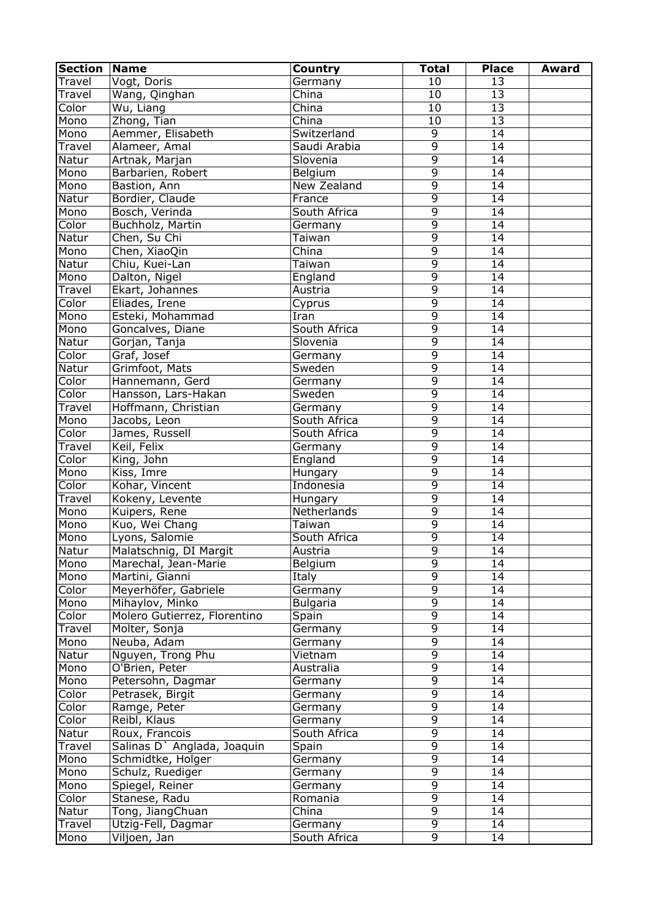| <b>Section</b> | <b>Name</b>                            | Country         | <b>Total</b>    | <b>Place</b>    | <b>Award</b> |
|----------------|----------------------------------------|-----------------|-----------------|-----------------|--------------|
| Travel         | Vogt, Doris                            | Germany         | 10              | 13              |              |
| Travel         | Wang, Qinghan                          | China           | 10              | 13              |              |
| Color          | Wu, Liang                              | China           | 10              | 13              |              |
| Mono           | Zhong, Tian                            | China           | $\overline{10}$ | 13              |              |
| Mono           | Aemmer, Elisabeth                      | Switzerland     | $\overline{9}$  | $\overline{14}$ |              |
| Travel         | Alameer, Amal                          | Saudi Arabia    | $\overline{9}$  | $\overline{14}$ |              |
| Natur          | Artnak, Marjan                         | Slovenia        | $\overline{9}$  | 14              |              |
| Mono           | Barbarien, Robert                      | Belgium         | $\overline{9}$  | 14              |              |
| Mono           | Bastion, Ann                           | New Zealand     | $\overline{9}$  | $\overline{14}$ |              |
| Natur          | Bordier, Claude                        | France          | $\overline{9}$  | $\overline{14}$ |              |
| Mono           | Bosch, Verinda                         | South Africa    | $\overline{9}$  | 14              |              |
| Color          | Buchholz, Martin                       | Germany         | $\overline{9}$  | 14              |              |
| Natur          | Chen, Su Chi                           | <b>Taiwan</b>   | $\overline{9}$  | 14              |              |
| Mono           | Chen, XiaoQin                          | China           | $\overline{9}$  | 14              |              |
| Natur          | Chiu, Kuei-Lan                         | Taiwan          | $\overline{9}$  | 14              |              |
| Mono           | Dalton, Nigel                          | England         | $\overline{9}$  | 14              |              |
| Travel         | Ekart, Johannes                        | Austria         | $\overline{9}$  | $\overline{14}$ |              |
| Color          | Eliades, Irene                         | Cyprus          | $\overline{9}$  | 14              |              |
| Mono           | Esteki, Mohammad                       | Iran            | $\overline{9}$  | 14              |              |
| Mono           | Goncalves, Diane                       | South Africa    | $\overline{9}$  | 14              |              |
| Natur          | Gorjan, Tanja                          | Slovenia        | $\overline{9}$  | 14              |              |
| Color          | Graf, Josef                            | Germany         | $\overline{9}$  | 14              |              |
| Natur          | Grimfoot, Mats                         | Sweden          | $\overline{9}$  | 14              |              |
| Color          |                                        | Germany         | $\overline{9}$  | 14              |              |
| Color          | Hannemann, Gerd<br>Hansson, Lars-Hakan | Sweden          | $\overline{9}$  | 14              |              |
|                |                                        |                 | $\overline{9}$  | 14              |              |
| Travel         | Hoffmann, Christian                    | Germany         | $\overline{9}$  |                 |              |
| Mono           | Jacobs, Leon                           | South Africa    |                 | 14              |              |
| Color          | James, Russell                         | South Africa    | $\overline{9}$  | 14              |              |
| Travel         | Keil, Felix                            | Germany         | $\overline{9}$  | 14              |              |
| Color          | King, John                             | England         | $\overline{9}$  | 14              |              |
| Mono           | Kiss, Imre                             | Hungary         | $\overline{9}$  | 14              |              |
| Color          | Kohar, Vincent                         | Indonesia       | $\overline{9}$  | 14              |              |
| Travel         | Kokeny, Levente                        | Hungary         | $\overline{9}$  | 14              |              |
| Mono           | Kuipers, Rene                          | Netherlands     | $\overline{9}$  | 14              |              |
| Mono           | Kuo, Wei Chang                         | Taiwan          | $\overline{9}$  | 14              |              |
| Mono           | Lyons, Salomie                         | South Africa    | $\overline{9}$  | 14              |              |
| Natur          | Malatschnig, DI Margit                 | Austria         | $\overline{9}$  | $\overline{14}$ |              |
| Mono           | Marechal, Jean-Marie                   | Belgium         | $\overline{9}$  | 14              |              |
| Mono           | Martini, Gianni                        | Italy           | $\overline{9}$  | 14              |              |
| Color          | Meyerhöfer, Gabriele                   | Germany         | $\overline{9}$  | 14              |              |
| Mono           | Mihaylov, Minko                        | <b>Bulgaria</b> | $\overline{9}$  | 14              |              |
| Color          | Molero Gutierrez, Florentino           | Spain           | $\overline{9}$  | 14              |              |
| Travel         | Molter, Sonja                          | Germany         | $\overline{9}$  | 14              |              |
| Mono           | Neuba, Adam                            | Germany         | $\overline{9}$  | 14              |              |
| Natur          | Nguyen, Trong Phu                      | Vietnam         | $\overline{9}$  | 14              |              |
| Mono           | O'Brien, Peter                         | Australia       | $\overline{9}$  | 14              |              |
| Mono           | Petersohn, Dagmar                      | Germany         | $\overline{9}$  | 14              |              |
| Color          | Petrasek, Birgit                       | Germany         | $\overline{9}$  | 14              |              |
| Color          | Ramge, Peter                           | Germany         | $\overline{9}$  | 14              |              |
| Color          | Reibl, Klaus                           | Germany         | $\overline{9}$  | 14              |              |
| Natur          | Roux, Francois                         | South Africa    | $\overline{9}$  | 14              |              |
| Travel         | Salinas D' Anglada, Joaquin            | Spain           | $\overline{9}$  | 14              |              |
| Mono           | Schmidtke, Holger                      | Germany         | $\overline{9}$  | 14              |              |
| Mono           | Schulz, Ruediger                       | Germany         | $\overline{9}$  | 14              |              |
| Mono           | Spiegel, Reiner                        | Germany         | $\overline{9}$  | 14              |              |
| Color          | Stanese, Radu                          | Romania         | $\overline{9}$  | 14              |              |
| Natur          | Tong, JiangChuan                       | China           | $\overline{9}$  | 14              |              |
| Travel         | Utzig-Fell, Dagmar                     | Germany         | 9               | 14              |              |
| Mono           | Viljoen, Jan                           | South Africa    | $\overline{9}$  | 14              |              |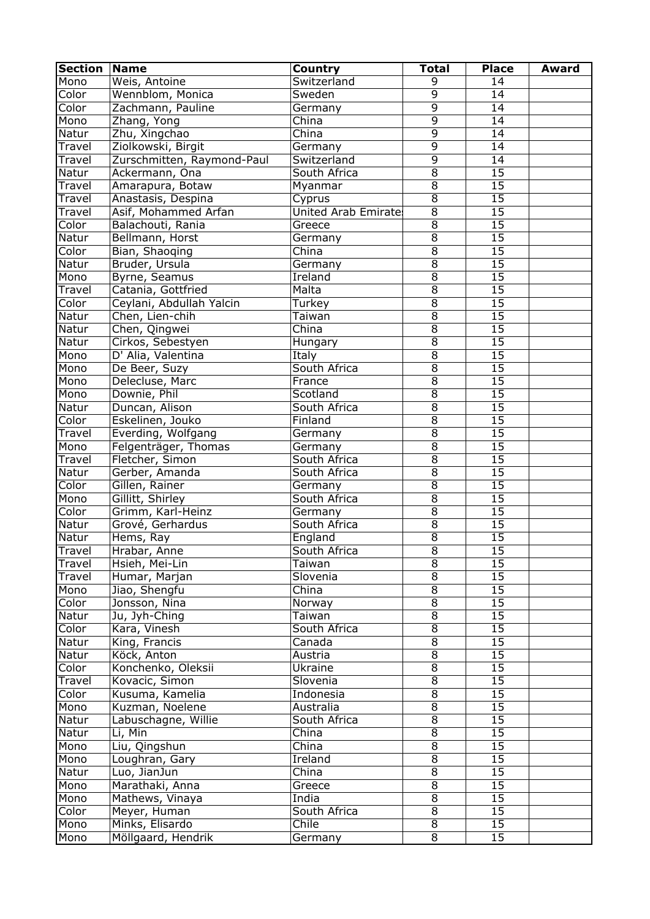| <b>Section</b> | <b>Name</b>                | Country              | <b>Total</b>        | <b>Place</b>    | <b>Award</b> |
|----------------|----------------------------|----------------------|---------------------|-----------------|--------------|
| Mono           | Weis, Antoine              | Switzerland          | 9                   | 14              |              |
| Color          | Wennblom, Monica           | Sweden               | $\overline{9}$      | 14              |              |
| Color          | Zachmann, Pauline          | Germany              | $\overline{9}$      | 14              |              |
| Mono           | Zhang, Yong                | China                | $\overline{9}$      | $\overline{14}$ |              |
| Natur          | Zhu, Xingchao              | China                | $\overline{9}$      | 14              |              |
| Travel         | Ziolkowski, Birgit         | Germany              | $\overline{9}$      | 14              |              |
| Travel         | Zurschmitten, Raymond-Paul | Switzerland          | $\overline{9}$      | 14              |              |
| Natur          | Ackermann, Ona             | South Africa         | $\overline{8}$      | 15              |              |
| Travel         | Amarapura, Botaw           | Myanmar              | $\overline{8}$      | $\overline{15}$ |              |
| Travel         | Anastasis, Despina         | Cyprus               | $\overline{8}$      | $\overline{15}$ |              |
| Travel         | Asif, Mohammed Arfan       | United Arab Emirate: | $\overline{8}$      | $\overline{15}$ |              |
| Color          | Balachouti, Rania          | Greece               | $\overline{8}$      | $\overline{15}$ |              |
| Natur          | Bellmann, Horst            | Germany              | $\overline{8}$      | $\overline{15}$ |              |
| Color          | Bian, Shaoqing             | China                | $\overline{8}$      | $\overline{15}$ |              |
| Natur          | Bruder, Ursula             | Germany              | $\overline{8}$      | $\overline{15}$ |              |
| Mono           | Byrne, Seamus              | <b>Ireland</b>       | $\overline{8}$      | 15              |              |
| Travel         | Catania, Gottfried         | Malta                | $\overline{8}$      | 15              |              |
|                |                            |                      | $\overline{8}$      | 15              |              |
| Color          | Ceylani, Abdullah Yalcin   | Turkey               | $\overline{8}$      |                 |              |
| Natur          | Chen, Lien-chih            | Taiwan               |                     | 15              |              |
| Natur          | Chen, Qingwei              | China                | $\overline{8}$      | 15              |              |
| Natur          | Cirkos, Sebestyen          | Hungary              | $\overline{8}$      | 15              |              |
| Mono           | D' Alia, Valentina         | Italy                | $\overline{8}$      | 15              |              |
| Mono           | De Beer, Suzy              | South Africa         | $\overline{8}$      | 15              |              |
| Mono           | Delecluse, Marc            | France               | $\overline{8}$      | 15              |              |
| Mono           | Downie, Phil               | Scotland             | $\overline{8}$      | 15              |              |
| Natur          | Duncan, Alison             | South Africa         | $\overline{8}$      | $\overline{15}$ |              |
| Color          | Eskelinen, Jouko           | Finland              | $\overline{8}$      | 15              |              |
| Travel         | Everding, Wolfgang         | Germany              | $\overline{8}$      | 15              |              |
| Mono           | Felgenträger, Thomas       | Germany              | $\overline{8}$      | 15              |              |
| Travel         | Fletcher, Simon            | South Africa         | $\overline{8}$      | 15              |              |
| Natur          | Gerber, Amanda             | South Africa         | $\overline{8}$      | $\overline{15}$ |              |
| Color          | Gillen, Rainer             | Germany              | $\overline{8}$      | $\overline{15}$ |              |
| Mono           | Gillitt, Shirley           | South Africa         | $\overline{8}$      | $\overline{15}$ |              |
| Color          | Grimm, Karl-Heinz          | Germany              | $\overline{8}$      | $\overline{15}$ |              |
| Natur          | Grové, Gerhardus           | South Africa         | $\overline{8}$      | $\overline{15}$ |              |
| Natur          | Hems, Ray                  | England              | $\overline{8}$      | $\overline{15}$ |              |
| Travel         | Hrabar, Anne               | South Africa         | $\overline{8}$      | 15              |              |
| Travel         | Hsieh, Mei-Lin             | Taiwan               | $\overline{8}$      | 15              |              |
| Travel         | Humar, Marjan              | Slovenia             | $\overline{8}$      | 15              |              |
| Mono           | Jiao, Shengfu              | China                | $\overline{8}$      | 15              |              |
| Color          | Jonsson, Nina              | Norway               | $\overline{8}$      | 15              |              |
| Natur          | Ju, Jyh-Ching              | Taiwan               | $\overline{8}$      | 15              |              |
| Color          | Kara, Vinesh               | South Africa         | $\overline{8}$      | 15              |              |
| Natur          | King, Francis              | Canada               | $\overline{8}$      | 15              |              |
| Natur          | Köck, Anton                | Austria              | $\overline{8}$      | 15              |              |
| Color          | Konchenko, Oleksii         | <b>Ukraine</b>       | $\overline{8}$      | 15              |              |
| Travel         | Kovacic, Simon             | Slovenia             | $\overline{8}$      | 15              |              |
| Color          | Kusuma, Kamelia            | Indonesia            | $\overline{8}$      | 15              |              |
| Mono           | Kuzman, Noelene            | Australia            | $\overline{8}$      | 15              |              |
| Natur          | Labuschagne, Willie        | South Africa         | $\overline{8}$      | $\overline{15}$ |              |
| Natur          | Li, Min                    | China                | $\overline{8}$      | 15              |              |
| Mono           | Liu, Qingshun              | China                | $\overline{8}$      | 15              |              |
|                | Loughran, Gary             |                      | $\overline{8}$      | 15              |              |
| Mono           |                            | Ireland              | $\overline{8}$      |                 |              |
| Natur          | Luo, JianJun               | China                |                     | 15              |              |
| Mono           | Marathaki, Anna            | Greece               | $\overline{8}$      | 15              |              |
| Mono           | Mathews, Vinaya            | India                | $\overline{8}$      | 15              |              |
| Color          | Meyer, Human               | South Africa         | $\overline{8}$      | $\overline{15}$ |              |
| Mono           | Minks, Elisardo            | Chile                | $\overline{\infty}$ | 15              |              |
| Mono           | Möllgaard, Hendrik         | Germany              | $\overline{8}$      | 15              |              |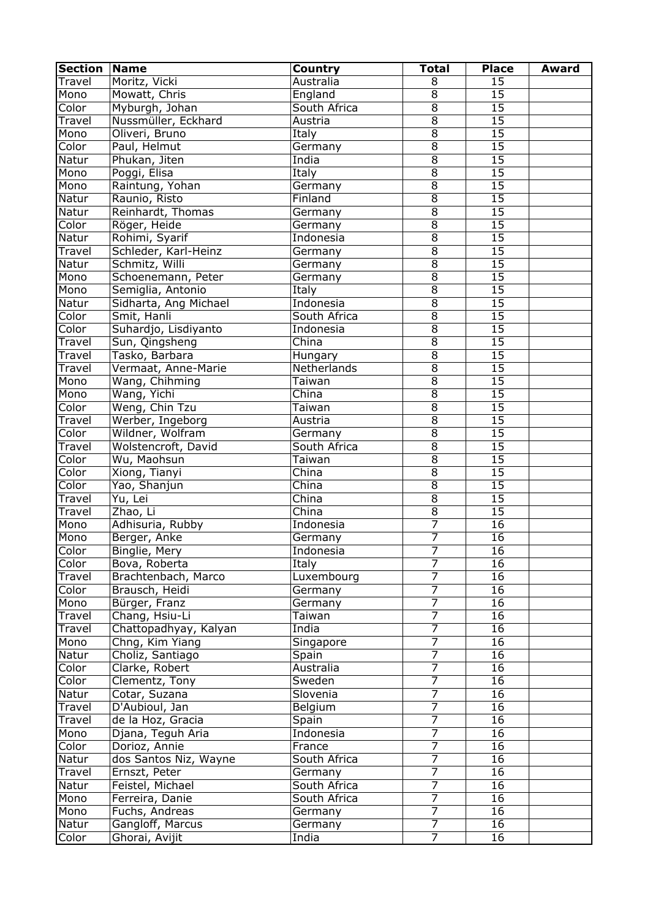| <b>Section</b> | Name                  | Country                   | <b>Total</b>   | <b>Place</b>    | <b>Award</b> |
|----------------|-----------------------|---------------------------|----------------|-----------------|--------------|
| Travel         | Moritz, Vicki         | Australia                 | 8              | 15              |              |
| Mono           | Mowatt, Chris         | England                   | $\overline{8}$ | 15              |              |
| Color          | Myburgh, Johan        | South Africa              | $\overline{8}$ | 15              |              |
| Travel         | Nussmüller, Eckhard   | Austria                   | $\overline{8}$ | $\overline{15}$ |              |
| Mono           | Oliveri, Bruno        | <b>Italy</b>              | $\overline{8}$ | $\overline{15}$ |              |
| Color          | Paul, Helmut          | Germany                   | $\overline{8}$ | $\overline{15}$ |              |
| Natur          | Phukan, Jiten         | India                     | $\overline{8}$ | $\overline{15}$ |              |
| Mono           | Poggi, Elisa          | Italy                     | $\overline{8}$ | $\overline{15}$ |              |
| Mono           | Raintung, Yohan       | Germany                   | $\overline{8}$ | 15              |              |
| Natur          | Raunio, Risto         | Finland                   | $\overline{8}$ | $\overline{15}$ |              |
| Natur          | Reinhardt, Thomas     | Germany                   | $\overline{8}$ | $\overline{15}$ |              |
| Color          | Röger, Heide          | Germany                   | $\overline{8}$ | $\overline{15}$ |              |
| Natur          | Rohimi, Syarif        | Indonesia                 | $\overline{8}$ | 15              |              |
| Travel         | Schleder, Karl-Heinz  | Germany                   | $\overline{8}$ | $\overline{15}$ |              |
| Natur          | Schmitz, Willi        | Germany                   | $\overline{8}$ | 15              |              |
| Mono           | Schoenemann, Peter    | Germany                   | $\overline{8}$ | 15              |              |
| Mono           | Semiglia, Antonio     | Italy                     | $\overline{8}$ | 15              |              |
| Natur          | Sidharta, Ang Michael | Indonesia                 | $\overline{8}$ | 15              |              |
| Color          | Smit, Hanli           | South Africa              | $\overline{8}$ | $\overline{15}$ |              |
| Color          | Suhardjo, Lisdiyanto  | Indonesia                 | $\overline{8}$ | $\overline{15}$ |              |
| Travel         | Sun, Qingsheng        | $\overline{\text{China}}$ | $\overline{8}$ | 15              |              |
| Travel         | Tasko, Barbara        | Hungary                   | $\overline{8}$ | $\overline{15}$ |              |
| Travel         | Vermaat, Anne-Marie   | Netherlands               | $\overline{8}$ | $\overline{15}$ |              |
| Mono           | Wang, Chihming        | Taiwan                    | $\overline{8}$ | 15              |              |
| Mono           | Wang, Yichi           | China                     | $\overline{8}$ | 15              |              |
| Color          | Weng, Chin Tzu        | Taiwan                    | $\overline{8}$ | 15              |              |
| Travel         | Werber, Ingeborg      | Austria                   | $\overline{8}$ | 15              |              |
| Color          | Wildner, Wolfram      | Germany                   | $\overline{8}$ | 15              |              |
| Travel         | Wolstencroft, David   | South Africa              | $\overline{8}$ | 15              |              |
| Color          | Wu, Maohsun           | Taiwan                    | $\overline{8}$ | 15              |              |
| Color          | Xiong, Tianyi         | China                     | $\overline{8}$ | 15              |              |
| Color          | Yao, Shanjun          | China                     | $\overline{8}$ | $\overline{15}$ |              |
| Travel         | Yu, Lei               | China                     | $\overline{8}$ | $\overline{15}$ |              |
| Travel         | Zhao, Li              | China                     | $\overline{8}$ | $\overline{15}$ |              |
| Mono           | Adhisuria, Rubby      | Indonesia                 | $\overline{7}$ | 16              |              |
| Mono           | Berger, Anke          | Germany                   | $\overline{7}$ | 16              |              |
| Color          | Binglie, Mery         | Indonesia                 | 7              | 16              |              |
| Color          | Bova, Roberta         | Italy                     | $\overline{7}$ | 16              |              |
| Travel         | Brachtenbach, Marco   | Luxembourg                | $\overline{7}$ | 16              |              |
| Color          | Brausch, Heidi        | Germany                   | $\overline{7}$ | 16              |              |
| Mono           | Bürger, Franz         | Germany                   | $\overline{7}$ | 16              |              |
| Travel         | Chang, Hsiu-Li        | Taiwan                    | $\overline{7}$ | 16              |              |
| Travel         | Chattopadhyay, Kalyan | India                     | $\overline{7}$ | 16              |              |
| Mono           | Chng, Kim Yiang       | Singapore                 | 7              | 16              |              |
| Natur          | Choliz, Santiago      | Spain                     | $\overline{7}$ | 16              |              |
| Color          | Clarke, Robert        | Australia                 | $\overline{7}$ | 16              |              |
| Color          | Clementz, Tony        | Sweden                    | $\overline{7}$ | 16              |              |
| Natur          | Cotar, Suzana         | Slovenia                  | $\overline{7}$ | 16              |              |
| Travel         | D'Aubioul, Jan        | Belgium                   | 7              | 16              |              |
| Travel         | de la Hoz, Gracia     | Spain                     | $\overline{7}$ | 16              |              |
| Mono           | Djana, Teguh Aria     | Indonesia                 | 7              | 16              |              |
| Color          | Dorioz, Annie         | France                    | $\overline{7}$ | 16              |              |
| Natur          | dos Santos Niz, Wayne | South Africa              | $\overline{7}$ | 16              |              |
| Travel         | Ernszt, Peter         | Germany                   | $\overline{7}$ | $\overline{16}$ |              |
| Natur          | Feistel, Michael      | South Africa              | 7              | 16              |              |
| Mono           | Ferreira, Danie       | South Africa              | 7              | 16              |              |
| Mono           | Fuchs, Andreas        | Germany                   | $\overline{7}$ | 16              |              |
| Natur          | Gangloff, Marcus      | Germany                   | $\overline{7}$ | 16              |              |
| Color          | Ghorai, Avijit        | India                     | $\overline{7}$ | 16              |              |
|                |                       |                           |                |                 |              |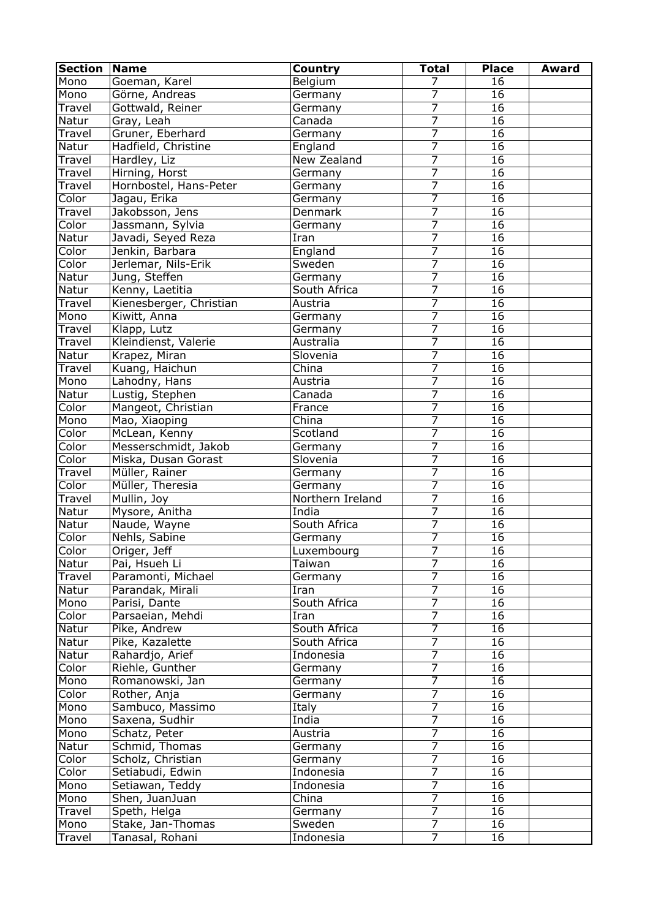| <b>Section</b> | <b>Name</b>             | <b>Country</b>   | <b>Total</b>   | <b>Place</b>    | Award |
|----------------|-------------------------|------------------|----------------|-----------------|-------|
| Mono           | Goeman, Karel           | Belgium          | 7              | 16              |       |
| Mono           | Görne, Andreas          | Germany          | 7              | 16              |       |
| Travel         | Gottwald, Reiner        | Germany          | $\overline{7}$ | 16              |       |
| Natur          | Gray, Leah              | Canada           | 7              | 16              |       |
| Travel         | Gruner, Eberhard        | Germany          | $\overline{7}$ | $\overline{16}$ |       |
| Natur          | Hadfield, Christine     | England          | 7              | 16              |       |
| Travel         | Hardley, Liz            | New Zealand      | $\overline{7}$ | 16              |       |
| Travel         | Hirning, Horst          | Germany          | $\overline{7}$ | 16              |       |
| <b>Travel</b>  | Hornbostel, Hans-Peter  | Germany          | $\overline{7}$ | 16              |       |
| Color          | Jagau, Erika            | Germany          | $\overline{7}$ | $\overline{16}$ |       |
| Travel         | Jakobsson, Jens         | Denmark          | 7              | 16              |       |
| Color          | Jassmann, Sylvia        | Germany          | $\overline{7}$ | 16              |       |
| Natur          | Javadi, Seyed Reza      | Iran             | $\overline{7}$ | 16              |       |
| Color          | Jenkin, Barbara         | England          | $\overline{7}$ | 16              |       |
| Color          | Jerlemar, Nils-Erik     | Sweden           | $\overline{7}$ | 16              |       |
| Natur          | Jung, Steffen           | Germany          | 7              | 16              |       |
| Natur          | Kenny, Laetitia         | South Africa     | 7              | $\overline{16}$ |       |
| Travel         | Kienesberger, Christian | Austria          | 7              | 16              |       |
| Mono           | Kiwitt, Anna            | Germany          | 7              | 16              |       |
| Travel         | Klapp, Lutz             | Germany          | 7              | 16              |       |
| Travel         | Kleindienst, Valerie    | Australia        | 7              | 16              |       |
| Natur          | Krapez, Miran           | Slovenia         | 7              | 16              |       |
| Travel         | Kuang, Haichun          | China            | 7              | 16              |       |
| Mono           | Lahodny, Hans           | Austria          | 7              | 16              |       |
| Natur          | Lustig, Stephen         | Canada           | 7              | 16              |       |
| Color          | Mangeot, Christian      | France           | 7              | 16              |       |
| Mono           | Mao, Xiaoping           | China            | 7              | 16              |       |
| Color          | McLean, Kenny           | Scotland         | $\overline{7}$ | 16              |       |
| Color          | Messerschmidt, Jakob    | Germany          | 7              | 16              |       |
| Color          | Miska, Dusan Gorast     | Slovenia         | 7              | 16              |       |
| Travel         | Müller, Rainer          | Germany          | $\overline{7}$ | 16              |       |
| Color          | Müller, Theresia        | Germany          | $\overline{7}$ | 16              |       |
| Travel         | Mullin, Joy             | Northern Ireland | 7              | 16              |       |
| Natur          | Mysore, Anitha          | India            | 7              | 16              |       |
| Natur          | Naude, Wayne            | South Africa     | 7              | 16              |       |
| Color          | Nehls, Sabine           | Germany          | $\overline{7}$ | 16              |       |
| Color          | Origer, Jeff            | Luxembourg       | 7              | 16              |       |
| Natur          | Pai, Hsueh Li           | Taiwan           | $\overline{7}$ | 16              |       |
|                |                         |                  | $\overline{7}$ | 16              |       |
| Travel         | Paramonti, Michael      | Germany          | $\overline{7}$ |                 |       |
| Natur          | Parandak, Mirali        | Iran             | $\overline{7}$ | 16              |       |
| Mono           | Parisi, Dante           | South Africa     |                | 16              |       |
| Color          | Parsaeian, Mehdi        | Iran             | $\overline{7}$ | 16              |       |
| Natur          | Pike, Andrew            | South Africa     | $\overline{7}$ | 16              |       |
| Natur          | Pike, Kazalette         | South Africa     | $\overline{7}$ | 16              |       |
| Natur          | Rahardjo, Arief         | Indonesia        | $\overline{7}$ | 16              |       |
| Color          | Riehle, Gunther         | Germany          | $\overline{7}$ | 16              |       |
| Mono           | Romanowski, Jan         | Germany          | $\overline{7}$ | 16              |       |
| Color          | Rother, Anja            | Germany          | $\overline{7}$ | 16              |       |
| Mono           | Sambuco, Massimo        | Italy            | $\overline{7}$ | 16              |       |
| Mono           | Saxena, Sudhir          | India            | $\overline{7}$ | 16              |       |
| Mono           | Schatz, Peter           | Austria          | $\overline{7}$ | 16              |       |
| Natur          | Schmid, Thomas          | Germany          | 7              | $\overline{1}6$ |       |
| Color          | Scholz, Christian       | Germany          | $\overline{7}$ | 16              |       |
| Color          | Setiabudi, Edwin        | Indonesia        | $\overline{7}$ | 16              |       |
| Mono           | Setiawan, Teddy         | Indonesia        | $\overline{7}$ | 16              |       |
| Mono           | Shen, JuanJuan          | China            | $\overline{7}$ | 16              |       |
| Travel         | Speth, Helga            | Germany          | 7              | 16              |       |
| Mono           | Stake, Jan-Thomas       | Sweden           | $\overline{7}$ | 16              |       |
| Travel         | Tanasal, Rohani         | Indonesia        | $\overline{7}$ | 16              |       |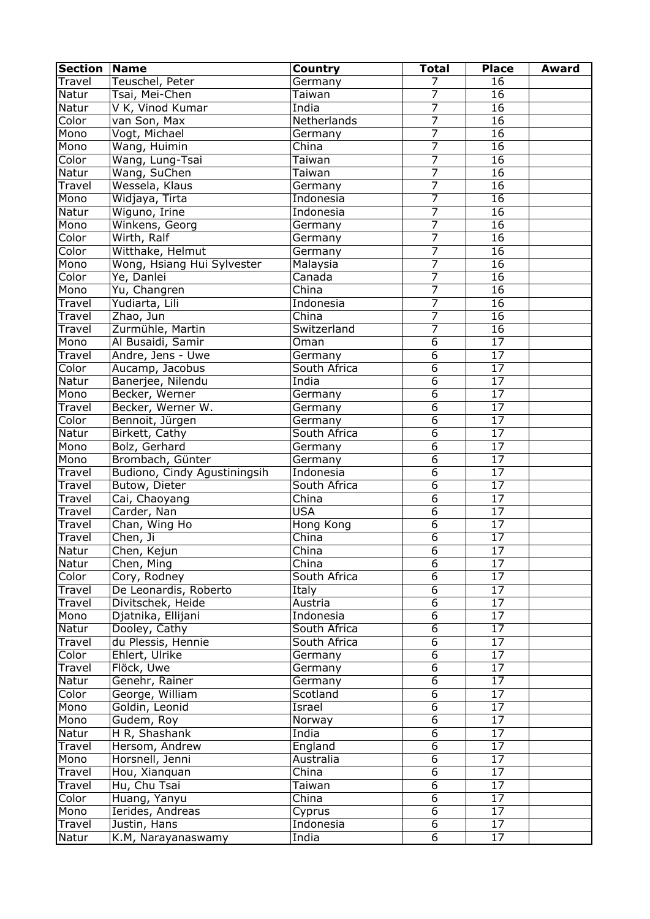| <b>Section</b> | Name                         | <b>Country</b>          | <b>Total</b>   | <b>Place</b>    | <b>Award</b> |
|----------------|------------------------------|-------------------------|----------------|-----------------|--------------|
| Travel         | Teuschel, Peter              | Germany                 | 7              | 16              |              |
| Natur          | Tsai, Mei-Chen               | Taiwan                  | 7              | 16              |              |
| Natur          | V K, Vinod Kumar             | India                   | $\overline{7}$ | 16              |              |
| Color          | van Son, Max                 | Netherlands             | 7              | 16              |              |
| Mono           | Vogt, Michael                | Germany                 | $\overline{7}$ | $\overline{16}$ |              |
| Mono           | Wang, Huimin                 | China                   | 7              | $\overline{16}$ |              |
| Color          | Wang, Lung-Tsai              | Taiwan                  | 7              | 16              |              |
| Natur          | Wang, SuChen                 | Taiwan                  | $\overline{7}$ | 16              |              |
| Travel         | Wessela, Klaus               | Germany                 | $\overline{7}$ | 16              |              |
| Mono           | Widjaya, Tirta               | Indonesia               | $\overline{7}$ | $\overline{16}$ |              |
| Natur          | Wiguno, Irine                | Indonesia               | 7              | 16              |              |
| Mono           | Winkens, Georg               | Germany                 | $\overline{7}$ | 16              |              |
| Color          | Wirth, Ralf                  | Germany                 | $\overline{7}$ | 16              |              |
| Color          | Witthake, Helmut             | Germany                 | $\overline{7}$ | 16              |              |
| Mono           | Wong, Hsiang Hui Sylvester   | Malaysia                | $\overline{7}$ | $\overline{16}$ |              |
| Color          | Ye, Danlei                   | Canada                  | 7              | 16              |              |
| Mono           | Yu, Changren                 | China                   | 7              | $\overline{16}$ |              |
| Travel         | Yudiarta, Lili               | Indonesia               | $\overline{7}$ | 16              |              |
| Travel         | Zhao, Jun                    | $\overline{China}$      | 7              | 16              |              |
| Travel         | Zurmühle, Martin             | Switzerland             | 7              | 16              |              |
| Mono           | Al Busaidi, Samir            | Oman                    | 6              | 17              |              |
| Travel         | Andre, Jens - Uwe            | Germany                 | $\overline{6}$ | 17              |              |
| Color          | Aucamp, Jacobus              | South Africa            | $\overline{6}$ | 17              |              |
| Natur          | Banerjee, Nilendu            | India                   | $\overline{6}$ | 17              |              |
| Mono           | Becker, Werner               | Germany                 | $\overline{6}$ | $\overline{17}$ |              |
| Travel         | Becker, Werner W.            | Germany                 | $\overline{6}$ | 17              |              |
| Color          | Bennoit, Jürgen              |                         | $\overline{6}$ | 17              |              |
|                | Birkett, Cathy               | Germany<br>South Africa | $\overline{6}$ | 17              |              |
| Natur          |                              |                         | $\overline{6}$ | 17              |              |
| Mono           | Bolz, Gerhard                | Germany                 |                |                 |              |
| Mono           | Brombach, Günter             | Germany                 | $\overline{6}$ | 17              |              |
| Travel         | Budiono, Cindy Agustiningsih | Indonesia               | $\overline{6}$ | 17              |              |
| <b>Travel</b>  | Butow, Dieter                | South Africa            | $\overline{6}$ | 17              |              |
| Travel         | Cai, Chaoyang                | China                   | $\overline{6}$ | $\overline{17}$ |              |
| Travel         | Carder, Nan                  | <b>USA</b>              | $\overline{6}$ | 17              |              |
| Travel         | Chan, Wing Ho                | Hong Kong               | $\overline{6}$ | 17              |              |
| Travel         | Chen, Ji                     | China                   | $\overline{6}$ | 17              |              |
| Natur          | Chen, Kejun                  | China                   | $\overline{6}$ | 17              |              |
| Natur          | Chen, Ming                   | China                   | $\overline{6}$ | 17              |              |
| Color          | Cory, Rodney                 | South Africa            | $\overline{6}$ | 17              |              |
| Travel         | De Leonardis, Roberto        | Italy                   | $\overline{6}$ | 17              |              |
| Travel         | Divitschek, Heide            | Austria                 | $\overline{6}$ | 17              |              |
| Mono           | Djatnika, Ellijani           | Indonesia               | $\overline{6}$ | $\overline{17}$ |              |
| Natur          | Dooley, Cathy                | South Africa            | $\overline{6}$ | $\overline{17}$ |              |
| Travel         | du Plessis, Hennie           | South Africa            | $\overline{6}$ | 17              |              |
| Color          | Ehlert, Ulrike               | Germany                 | $\overline{6}$ | 17              |              |
| Travel         | Flöck, Uwe                   | Germany                 | $\overline{6}$ | 17              |              |
| Natur          | Genehr, Rainer               | Germany                 | $\overline{6}$ | 17              |              |
| Color          | George, William              | Scotland                | $\overline{6}$ | 17              |              |
| Mono           | Goldin, Leonid               | Israel                  | $\overline{6}$ | 17              |              |
| Mono           | Gudem, Roy                   | Norway                  | $\overline{6}$ | 17              |              |
| Natur          | H R, Shashank                | India                   | 6              | 17              |              |
| Travel         | Hersom, Andrew               | England                 | 6              | 17              |              |
| Mono           | Horsnell, Jenni              | Australia               | 6              | 17              |              |
| Travel         | Hou, Xianquan                | China                   | 6              | 17              |              |
| Travel         | Hu, Chu Tsai                 | Taiwan                  | 6              | 17              |              |
| Color          | Huang, Yanyu                 | China                   | 6              | 17              |              |
| Mono           | Ierides, Andreas             | Cyprus                  | $\overline{6}$ | $\overline{17}$ |              |
| Travel         | Justin, Hans                 | Indonesia               | 6              | 17              |              |
| Natur          | K.M, Narayanaswamy           | India                   | 6              | 17              |              |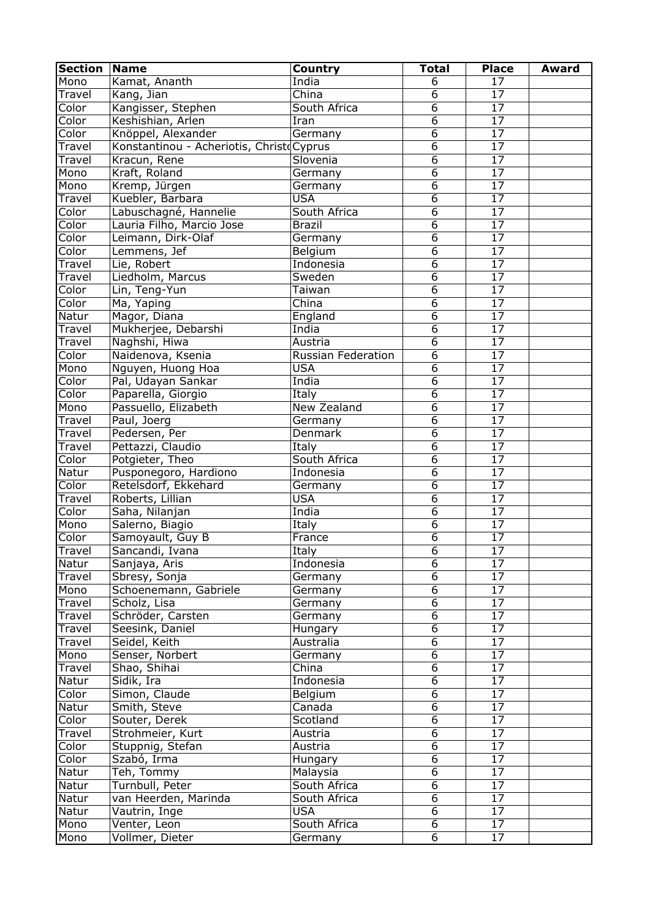| <b>Section</b> | <b>Name</b>                              | Country            | <b>Total</b>   | <b>Place</b>    | <b>Award</b> |
|----------------|------------------------------------------|--------------------|----------------|-----------------|--------------|
| Mono           | Kamat, Ananth                            | India              | 6              | 17              |              |
| Travel         | Kang, Jian                               | China              | 6              | 17              |              |
| Color          | Kangisser, Stephen                       | South Africa       | 6              | 17              |              |
| Color          | Keshishian, Arlen                        | Iran               | $\overline{6}$ | $\overline{17}$ |              |
| Color          | Knöppel, Alexander                       | Germany            | 6              | $\overline{17}$ |              |
| Travel         | Konstantinou - Acheriotis, Christ Cyprus |                    | 6              | $\overline{17}$ |              |
| Travel         | Kracun, Rene                             | Slovenia           | 6              | 17              |              |
| Mono           | Kraft, Roland                            | Germany            | 6              | $\overline{17}$ |              |
| Mono           | Kremp, Jürgen                            | Germany            | 6              | $\overline{17}$ |              |
| Travel         | Kuebler, Barbara                         | <b>USA</b>         | 6              | $\overline{17}$ |              |
| Color          | Labuschagné, Hannelie                    | South Africa       | $\overline{6}$ | $\overline{17}$ |              |
| Color          | Lauria Filho, Marcio Jose                | <b>Brazil</b>      | $\overline{6}$ | 17              |              |
| Color          | Leimann, Dirk-Olaf                       | Germany            | $\overline{6}$ | 17              |              |
| Color          | Lemmens, Jef                             | Belgium            | $\overline{6}$ | 17              |              |
| Travel         | Lie, Robert                              | Indonesia          | $\overline{6}$ | $\overline{17}$ |              |
| Travel         | Liedholm, Marcus                         | Sweden             | $\overline{6}$ | $\overline{17}$ |              |
| Color          | Lin, Teng-Yun                            | Taiwan             | $6\overline{}$ | $\overline{17}$ |              |
| Color          | Ma, Yaping                               | China              | $\overline{6}$ | 17              |              |
| Natur          | Magor, Diana                             | England            | $\overline{6}$ | $\overline{17}$ |              |
| Travel         | Mukherjee, Debarshi                      | India              | $\overline{6}$ | 17              |              |
| Travel         | Naghshi, Hiwa                            | Austria            | $\overline{6}$ | 17              |              |
| Color          | Naidenova, Ksenia                        | Russian Federation | $\overline{6}$ | 17              |              |
| Mono           | Nguyen, Huong Hoa                        | <b>USA</b>         | $\overline{6}$ | 17              |              |
| Color          | Pal, Udayan Sankar                       | India              | $\overline{6}$ | 17              |              |
| Color          |                                          | Italy              | $\overline{6}$ | $\overline{17}$ |              |
|                | Paparella, Giorgio                       |                    | $\overline{6}$ | 17              |              |
| Mono           | Passuello, Elizabeth                     | New Zealand        | $\overline{6}$ |                 |              |
| Travel         | Paul, Joerg                              | Germany            |                | 17              |              |
| Travel         | Pedersen, Per                            | Denmark            | $\overline{6}$ | 17              |              |
| Travel         | Pettazzi, Claudio                        | Italy              | $\overline{6}$ | $\overline{17}$ |              |
| Color          | Potgieter, Theo                          | South Africa       | 6              | $\overline{17}$ |              |
| Natur          | Pusponegoro, Hardiono                    | Indonesia          | $\overline{6}$ | 17              |              |
| Color          | Retelsdorf, Ekkehard                     | Germany            | $\overline{6}$ | 17              |              |
| Travel         | Roberts, Lillian                         | <b>USA</b>         | $\overline{6}$ | $\overline{17}$ |              |
| Color          | Saha, Nilanjan                           | India              | $\overline{6}$ | 17              |              |
| Mono           | Salerno, Biagio                          | <b>Italy</b>       | 6              | 17              |              |
| Color          | Samoyault, Guy B                         | France             | $\overline{6}$ | 17              |              |
| Travel         | Sancandi, Ivana                          | Italy              | $\overline{6}$ | 17              |              |
| Natur          | Sanjaya, Aris                            | Indonesia          | $\overline{6}$ | 17              |              |
| <b>Travel</b>  | Sbresy, Sonja                            | Germany            | $\overline{6}$ | 17              |              |
| Mono           | Schoenemann, Gabriele                    | Germany            | $\overline{6}$ | 17              |              |
| Travel         | Scholz, Lisa                             | Germany            | $\overline{6}$ | 17              |              |
| Travel         | Schröder, Carsten                        | Germany            | $\overline{6}$ | $\overline{17}$ |              |
| Travel         | Seesink, Daniel                          | Hungary            | $\overline{6}$ | 17              |              |
| Travel         | Seidel, Keith                            | Australia          | $\overline{6}$ | 17              |              |
| Mono           | Senser, Norbert                          | Germany            | $\overline{6}$ | 17              |              |
| Travel         | Shao, Shihai                             | China              | $\overline{6}$ | 17              |              |
| Natur          | Sidik, Ira                               | Indonesia          | $\overline{6}$ | 17              |              |
| Color          | Simon, Claude                            | Belgium            | $\overline{6}$ | 17              |              |
| Natur          | Smith, Steve                             | Canada             | $\overline{6}$ | 17              |              |
| Color          | Souter, Derek                            | Scotland           | $\overline{6}$ | 17              |              |
| Travel         | Strohmeier, Kurt                         | Austria            | 6              | 17              |              |
| Color          | Stuppnig, Stefan                         | Austria            | 6              | 17              |              |
| Color          | Szabó, Irma                              | Hungary            | 6              | 17              |              |
| Natur          | Teh, Tommy                               | Malaysia           | 6              | 17              |              |
| Natur          | Turnbull, Peter                          | South Africa       | 6              | 17              |              |
| Natur          | van Heerden, Marinda                     | South Africa       | 6              | 17              |              |
| Natur          | Vautrin, Inge                            | <b>USA</b>         | $\overline{6}$ | 17              |              |
| Mono           | Venter, Leon                             | South Africa       | 6              | 17              |              |
| Mono           | Vollmer, Dieter                          | Germany            | 6              | 17              |              |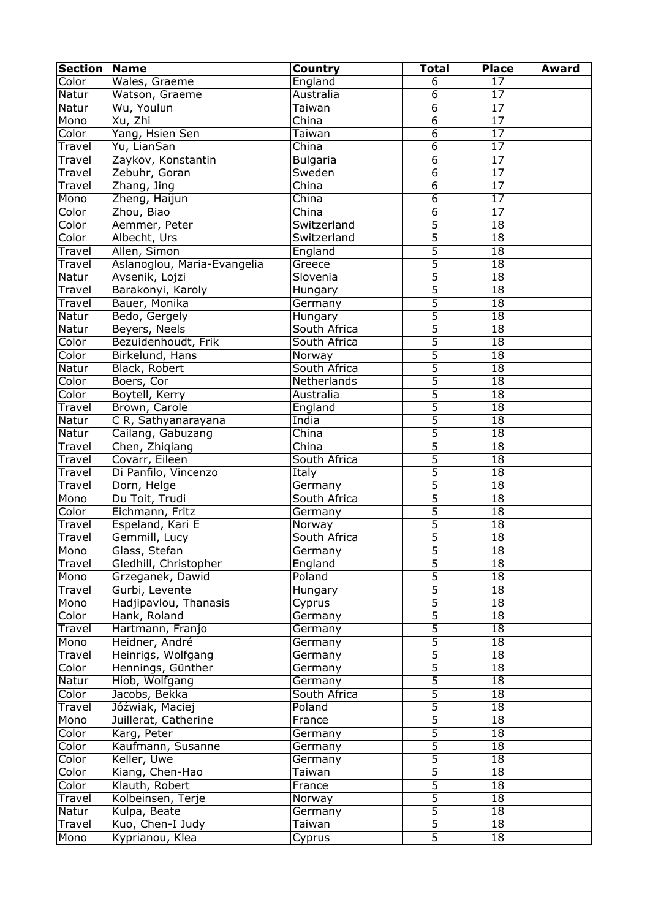| <b>Section</b>  | <b>Name</b>                      | Country                   | <b>Total</b>        | <b>Place</b>    | <b>Award</b> |
|-----------------|----------------------------------|---------------------------|---------------------|-----------------|--------------|
| Color           | Wales, Graeme                    | England                   | 6                   | 17              |              |
| Natur           | Watson, Graeme                   | Australia                 | 6                   | 17              |              |
| Natur           | Wu, Youlun                       | Taiwan                    | 6                   | $\overline{17}$ |              |
| Mono            | Xu, Zhi                          | China                     | $\overline{6}$      | 17              |              |
| Color           | Yang, Hsien Sen                  | Taiwan                    | $\overline{6}$      | $\overline{17}$ |              |
| Travel          | Yu, LianSan                      | China                     | $\overline{6}$      | $\overline{17}$ |              |
| Travel          | Zaykov, Konstantin               | <b>Bulgaria</b>           | $\overline{6}$      | 17              |              |
| Travel          | Zebuhr, Goran                    | Sweden                    | $\overline{6}$      | 17              |              |
| Travel          | Zhang, Jing                      | China                     | $\overline{6}$      | 17              |              |
| Mono            | Zheng, Haijun                    | $\overline{\text{China}}$ | $\overline{6}$      | 17              |              |
| Color           | Zhou, Biao                       | $\overline{\text{China}}$ | $\overline{6}$      | 17              |              |
| Color           | Aemmer, Peter                    | Switzerland               | $\overline{5}$      | 18              |              |
| Color           | Albecht, Urs                     | Switzerland               | $\overline{5}$      | 18              |              |
| Travel          | Allen, Simon                     | England                   | 5                   | 18              |              |
| Travel          | Aslanoglou, Maria-Evangelia      | Greece                    | 5                   | 18              |              |
| Natur           | Avsenik, Lojzi                   | Slovenia                  | 5                   | 18              |              |
| Travel          | Barakonyi, Karoly                | Hungary                   | 5                   | $\overline{18}$ |              |
| Travel          | Bauer, Monika                    | Germany                   | 5                   | 18              |              |
| Natur           | Bedo, Gergely                    | Hungary                   | 5                   | 18              |              |
| Natur           | Beyers, Neels                    | South Africa              | 5                   | 18              |              |
| Color           | Bezuidenhoudt, Frik              | South Africa              | 5                   | 18              |              |
| Color           | Birkelund, Hans                  | Norway                    | 5                   | 18              |              |
| Natur           | Black, Robert                    | South Africa              | $\overline{5}$      | 18              |              |
| Color           | Boers, Cor                       | Netherlands               | 5                   | 18              |              |
| Color           | Boytell, Kerry                   | Australia                 | $\overline{5}$      | 18              |              |
| Travel          | Brown, Carole                    | England                   | $\overline{5}$      | 18              |              |
| Natur           | C R, Sathyanarayana              | India                     | $\overline{5}$      | 18              |              |
| Natur           | Cailang, Gabuzang                | China                     | $\overline{5}$      | 18              |              |
| Travel          | Chen, Zhiqiang                   | China                     | 5                   | 18              |              |
| <b>Travel</b>   | Covarr, Eileen                   | South Africa              | $\overline{5}$      | 18              |              |
| Travel          | Di Panfilo, Vincenzo             | Italy                     | $\overline{5}$      | 18              |              |
| Travel          | Dorn, Helge                      | Germany                   | $\overline{5}$      | 18              |              |
| Mono            | Du Toit, Trudi                   | South Africa              | $\overline{5}$      | 18              |              |
| Color           | Eichmann, Fritz                  | Germany                   | $\overline{5}$      | 18              |              |
| Travel          | Espeland, Kari E                 | Norway                    | $\overline{5}$      | 18              |              |
| <b>Travel</b>   | Gemmill, Lucy                    | South Africa              | $\overline{5}$      | 18              |              |
| Mono            | Glass, Stefan                    | Germany                   | 5                   | 18              |              |
| Travel          | Gledhill, Christopher            | England                   | $\overline{5}$      | 18              |              |
| Mono            | Grzeganek, Dawid                 | Poland                    | $\overline{5}$      | 18              |              |
| Travel          | Gurbi, Levente                   | Hungary                   | $\overline{5}$      | 18              |              |
| Mono            | Hadjipavlou, Thanasis            | Cyprus                    | 5                   | 18              |              |
| Color           | Hank, Roland                     | Germany                   | $\overline{5}$      | 18              |              |
| Travel          | Hartmann, Franjo                 | Germany                   | $\overline{5}$      | 18              |              |
| Mono            | Heidner, André                   | Germany                   | 5                   | 18              |              |
| Travel          | Heinrigs, Wolfgang               | Germany                   | $\overline{5}$      | 18              |              |
| Color           | Hennings, Günther                | Germany                   | $\overline{5}$      | 18              |              |
| Natur           | Hiob, Wolfgang                   | Germany                   | $\overline{5}$      | 18              |              |
| Color           | Jacobs, Bekka                    | South Africa              | $\overline{5}$      | 18              |              |
| Travel          | Jóźwiak, Maciej                  | Poland                    | 5                   | 18              |              |
| Mono            | Juillerat, Catherine             | France                    | $\overline{5}$      | 18              |              |
| Color           | Karg, Peter                      | Germany                   | 5<br>5              | 18              |              |
| Color           | Kaufmann, Susanne                | Germany                   |                     | 18              |              |
| Color           | Keller, Uwe                      | Germany                   | 5<br>$\overline{5}$ | 18              |              |
| Color           | Kiang, Chen-Hao                  | Taiwan                    | $\overline{5}$      | 18              |              |
| Color           | Klauth, Robert                   | France                    | $\overline{5}$      | 18              |              |
| Travel          | Kolbeinsen, Terje                | Norway                    | $\overline{5}$      | 18              |              |
| Natur<br>Travel | Kulpa, Beate<br>Kuo, Chen-I Judy | Germany                   | $\overline{5}$      | 18<br>18        |              |
| Mono            | Kyprianou, Klea                  | Taiwan                    | $\overline{5}$      | 18              |              |
|                 |                                  | Cyprus                    |                     |                 |              |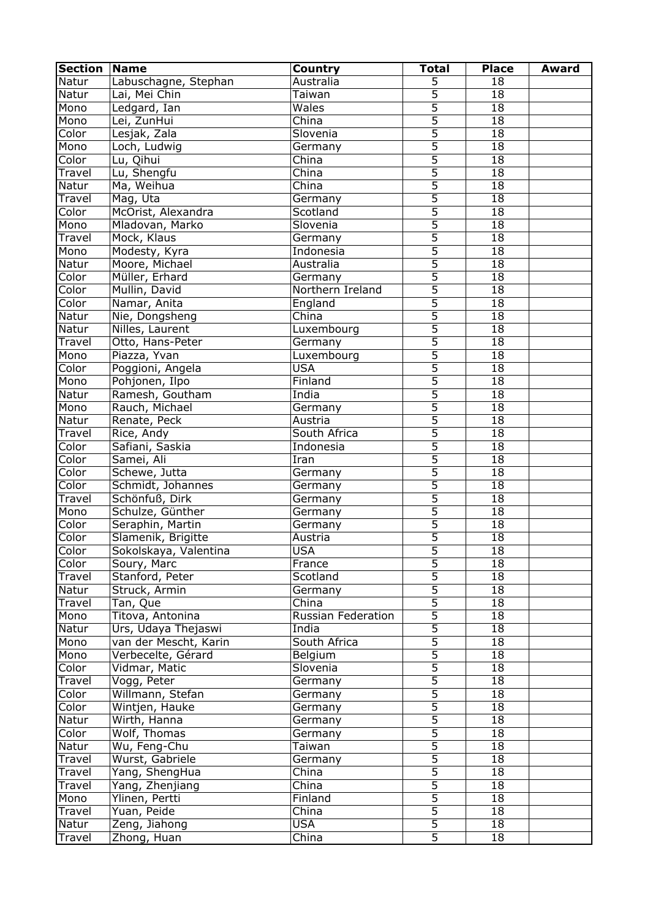| <b>Section</b> | <b>Name</b>           | Country            | <b>Total</b>   | <b>Place</b>    | <b>Award</b> |
|----------------|-----------------------|--------------------|----------------|-----------------|--------------|
| Natur          | Labuschagne, Stephan  | Australia          | 5              | 18              |              |
| Natur          | Lai, Mei Chin         | Taiwan             | $\overline{5}$ | 18              |              |
| Mono           | Ledgard, Ian          | Wales              | $\overline{5}$ | 18              |              |
| Mono           | Lei, ZunHui           | $\overline{China}$ | $\overline{5}$ | $\overline{18}$ |              |
| Color          | Lesjak, Zala          | Slovenia           | $\overline{5}$ | 18              |              |
| Mono           | Loch, Ludwig          | Germany            | $\overline{5}$ | 18              |              |
| Color          | Lu, Qihui             | China              | $\overline{5}$ | 18              |              |
| Travel         | Lu, Shengfu           | China              | $\overline{5}$ | 18              |              |
| Natur          | Ma, Weihua            | China              | $\overline{5}$ | 18              |              |
| Travel         | Mag, Uta              | Germany            | $\overline{5}$ | $\overline{18}$ |              |
| Color          | McOrist, Alexandra    | Scotland           | $\overline{5}$ | 18              |              |
| Mono           | Mladovan, Marko       | Slovenia           | $\overline{5}$ | 18              |              |
| Travel         | Mock, Klaus           | Germany            | 5              | 18              |              |
| Mono           | Modesty, Kyra         | Indonesia          | 5              | 18              |              |
| Natur          | Moore, Michael        | Australia          | $\overline{5}$ | 18              |              |
| Color          | Müller, Erhard        | Germany            | $\overline{5}$ | 18              |              |
| Color          | Mullin, David         | Northern Ireland   | 5              | $\overline{18}$ |              |
| Color          | Namar, Anita          | England            | $\overline{5}$ | 18              |              |
| Natur          | Nie, Dongsheng        | China              | $\overline{5}$ | 18              |              |
| Natur          | Nilles, Laurent       | Luxembourg         | $\overline{5}$ | 18              |              |
| Travel         | Otto, Hans-Peter      | Germany            | 5              | 18              |              |
| Mono           | Piazza, Yvan          | Luxembourg         | 5              | 18              |              |
| Color          | Poggioni, Angela      | <b>USA</b>         | 5              | 18              |              |
| Mono           | Pohjonen, Ilpo        | Finland            | 5              | 18              |              |
| Natur          | Ramesh, Goutham       | India              | 5              | 18              |              |
|                |                       |                    | $\overline{5}$ | 18              |              |
| Mono           | Rauch, Michael        | Germany            |                |                 |              |
| Natur          | Renate, Peck          | Austria            | 5              | 18              |              |
| Travel         | Rice, Andy            | South Africa       | 5              | 18              |              |
| Color          | Safiani, Saskia       | Indonesia          | 5              | 18              |              |
| Color          | Samei, Ali            | Iran               | $\overline{5}$ | 18              |              |
| Color          | Schewe, Jutta         | Germany            | $\overline{5}$ | 18              |              |
| Color          | Schmidt, Johannes     | Germany            | $\overline{5}$ | 18              |              |
| Travel         | Schönfuß, Dirk        | Germany            | $\overline{5}$ | 18              |              |
| Mono           | Schulze, Günther      | Germany            | $\overline{5}$ | 18              |              |
| Color          | Seraphin, Martin      | Germany            | $\overline{5}$ | 18              |              |
| Color          | Slamenik, Brigitte    | Austria            | $\overline{5}$ | 18              |              |
| Color          | Sokolskaya, Valentina | <b>USA</b>         | $\overline{5}$ | 18              |              |
| Color          | Soury, Marc           | France             | 5              | 18              |              |
| Travel         | Stanford, Peter       | Scotland           | $\overline{5}$ | 18              |              |
| Natur          | Struck, Armin         | Germany            | 5              | 18              |              |
| Travel         | Tan, Que              | China              | 5              | 18              |              |
| Mono           | Titova, Antonina      | Russian Federation | $\overline{5}$ | 18              |              |
| Natur          | Urs, Udaya Thejaswi   | India              | $\overline{5}$ | 18              |              |
| Mono           | van der Mescht, Karin | South Africa       | $\overline{5}$ | 18              |              |
| Mono           | Verbecelte, Gérard    | Belgium            | 5              | 18              |              |
| Color          | Vidmar, Matic         | Slovenia           | 5              | 18              |              |
| Travel         | Vogg, Peter           | Germany            | $\overline{5}$ | 18              |              |
| Color          | Willmann, Stefan      | Germany            | $\overline{5}$ | 18              |              |
| Color          | Wintjen, Hauke        | Germany            | $\overline{5}$ | 18              |              |
| Natur          | Wirth, Hanna          | Germany            | $\overline{5}$ | 18              |              |
| Color          | Wolf, Thomas          | Germany            | 5              | 18              |              |
| Natur          | Wu, Feng-Chu          | Taiwan             | 5              | 18              |              |
| Travel         | Wurst, Gabriele       | Germany            | $\overline{5}$ | 18              |              |
| Travel         | Yang, ShengHua        | China              | $\overline{5}$ | 18              |              |
| Travel         | Yang, Zhenjiang       | China              | 5              | 18              |              |
| Mono           | Ylinen, Pertti        | Finland            | $\overline{5}$ | 18              |              |
| Travel         | Yuan, Peide           | China              | $\overline{5}$ | 18              |              |
| Natur          | Zeng, Jiahong         | <b>USA</b>         | $\overline{5}$ | 18              |              |
| Travel         | Zhong, Huan           | China              | $\overline{5}$ | 18              |              |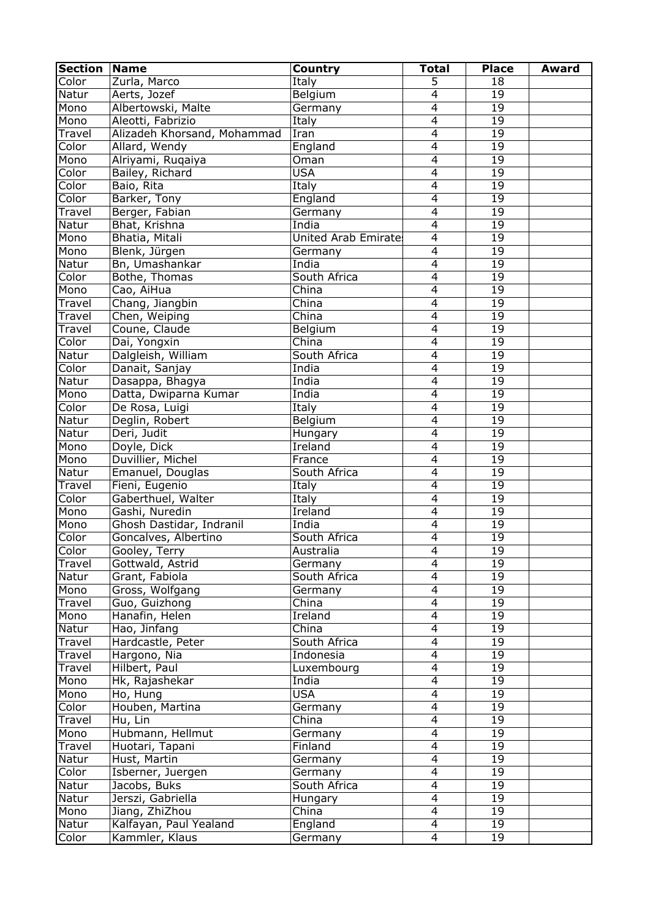| <b>Section</b> | <b>Name</b>                 | <b>Country</b>              | <b>Total</b>   | <b>Place</b>    | Award |
|----------------|-----------------------------|-----------------------------|----------------|-----------------|-------|
| Color          | Zurla, Marco                | Italy                       | 5              | 18              |       |
| Natur          | Aerts, Jozef                | Belgium                     | $\overline{4}$ | 19              |       |
| Mono           | Albertowski, Malte          | Germany                     | $\overline{4}$ | 19              |       |
| Mono           | Aleotti, Fabrizio           | Italy                       | $\overline{4}$ | $\overline{19}$ |       |
| Travel         | Alizadeh Khorsand, Mohammad | Iran                        | $\overline{4}$ | 19              |       |
| Color          | Allard, Wendy               | England                     | $\overline{4}$ | 19              |       |
| Mono           | Alriyami, Ruqaiya           | Oman                        | $\overline{4}$ | 19              |       |
| Color          | Bailey, Richard             | <b>USA</b>                  | $\overline{4}$ | 19              |       |
| Color          | Baio, Rita                  | Italy                       | $\overline{4}$ | 19              |       |
| Color          | Barker, Tony                | England                     | $\overline{4}$ | 19              |       |
| <b>Travel</b>  | Berger, Fabian              | Germany                     | $\overline{4}$ | 19              |       |
| Natur          | Bhat, Krishna               | India                       | $\overline{4}$ | 19              |       |
| Mono           | Bhatia, Mitali              | <b>United Arab Emirates</b> | $\overline{4}$ | 19              |       |
| Mono           | Blenk, Jürgen               | Germany                     | $\overline{4}$ | 19              |       |
| Natur          | Bn, Umashankar              | India                       | $\overline{4}$ | 19              |       |
| Color          | Bothe, Thomas               | South Africa                | $\overline{4}$ | 19              |       |
| Mono           | Cao, AiHua                  | China                       | $\overline{4}$ | $\overline{19}$ |       |
|                |                             | China                       | $\overline{4}$ | 19              |       |
| Travel         | Chang, Jiangbin             |                             |                |                 |       |
| Travel         | Chen, Weiping               | China                       | $\overline{4}$ | 19              |       |
| Travel         | Coune, Claude               | Belgium                     | 4              | 19              |       |
| Color          | Dai, Yongxin                | China                       | $\overline{4}$ | 19              |       |
| Natur          | Dalgleish, William          | South Africa                | $\overline{4}$ | 19              |       |
| Color          | Danait, Sanjay              | India                       | $\overline{4}$ | 19              |       |
| Natur          | Dasappa, Bhagya             | India                       | $\overline{4}$ | 19              |       |
| Mono           | Datta, Dwiparna Kumar       | India                       | $\overline{4}$ | 19              |       |
| Color          | De Rosa, Luigi              | Italy                       | $\overline{4}$ | 19              |       |
| Natur          | Deglin, Robert              | Belgium                     | $\overline{4}$ | 19              |       |
| Natur          | Deri, Judit                 | Hungary                     | $\overline{4}$ | 19              |       |
| Mono           | Doyle, Dick                 | Ireland                     | $\overline{4}$ | 19              |       |
| Mono           | Duvillier, Michel           | France                      | $\overline{4}$ | 19              |       |
| Natur          | Emanuel, Douglas            | South Africa                | $\overline{4}$ | 19              |       |
| Travel         | Fieni, Eugenio              | Italy                       | $\overline{4}$ | 19              |       |
| Color          | Gaberthuel, Walter          | Italy                       | $\overline{4}$ | 19              |       |
| Mono           | Gashi, Nuredin              | Ireland                     | $\overline{4}$ | 19              |       |
| Mono           | Ghosh Dastidar, Indranil    | India                       | $\overline{4}$ | 19              |       |
| Color          | Goncalves, Albertino        | South Africa                | $\overline{4}$ | 19              |       |
| Color          | Gooley, Terry               | Australia                   | $\overline{4}$ | 19              |       |
| Travel         | Gottwald, Astrid            | Germany                     | $\overline{4}$ | 19              |       |
| Natur          | Grant, Fabiola              | South Africa                | $\overline{4}$ | 19              |       |
| Mono           | Gross, Wolfgang             | Germany                     | $\overline{4}$ | 19              |       |
| Travel         | Guo, Guizhong               | China                       | $\overline{4}$ | 19              |       |
| Mono           | Hanafin, Helen              | Ireland                     | $\overline{4}$ | 19              |       |
| Natur          | Hao, Jinfang                | China                       | $\overline{4}$ | 19              |       |
| Travel         | Hardcastle, Peter           | South Africa                | $\overline{4}$ | 19              |       |
| Travel         | Hargono, Nia                | Indonesia                   | $\overline{4}$ | 19              |       |
|                |                             |                             | $\overline{4}$ | 19              |       |
| Travel         | Hilbert, Paul               | Luxembourg                  | $\overline{4}$ |                 |       |
| Mono           | Hk, Rajashekar              | India                       |                | 19              |       |
| Mono           | Ho, Hung                    | <b>USA</b>                  | $\overline{4}$ | 19              |       |
| Color          | Houben, Martina             | Germany                     | $\overline{4}$ | 19              |       |
| Travel         | Hu, Lin                     | China                       | $\overline{4}$ | 19              |       |
| Mono           | Hubmann, Hellmut            | Germany                     | $\overline{4}$ | 19              |       |
| Travel         | Huotari, Tapani             | Finland                     | $\overline{4}$ | 19              |       |
| Natur          | Hust, Martin                | Germany                     | $\overline{4}$ | 19              |       |
| Color          | Isberner, Juergen           | Germany                     | $\overline{4}$ | 19              |       |
| Natur          | Jacobs, Buks                | South Africa                | $\overline{4}$ | 19              |       |
| Natur          | Jerszi, Gabriella           | Hungary                     | $\overline{4}$ | 19              |       |
| Mono           | Jiang, ZhiZhou              | China                       | $\overline{4}$ | 19              |       |
| Natur          | Kalfayan, Paul Yealand      | England                     | 4              | 19              |       |
| Color          | Kammler, Klaus              | Germany                     | $\overline{4}$ | 19              |       |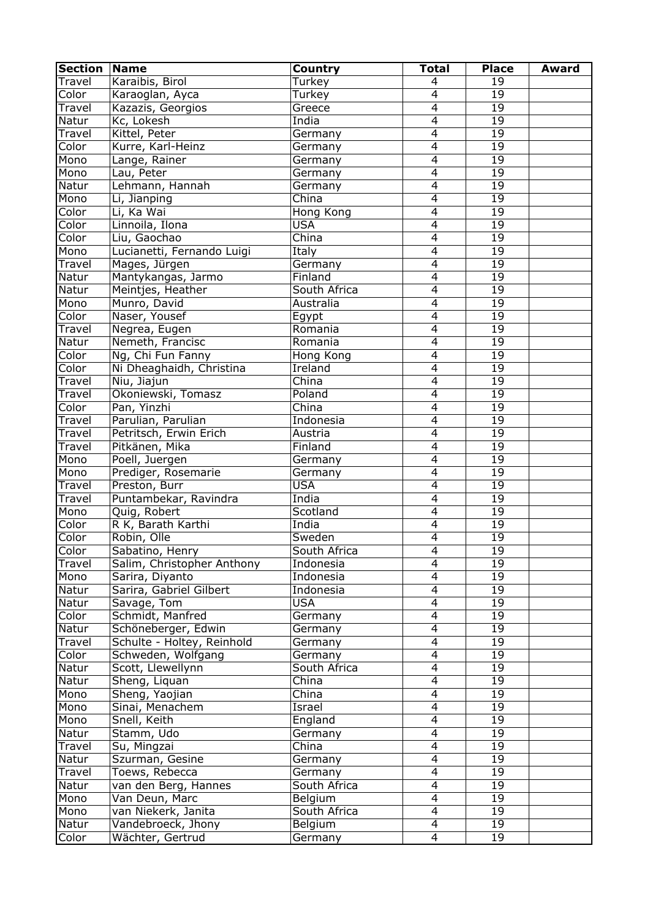| <b>Section</b> | Name                       | Country      | <b>Total</b>   | <b>Place</b>    | <b>Award</b> |
|----------------|----------------------------|--------------|----------------|-----------------|--------------|
| Travel         | Karaibis, Birol            | Turkey       | 4              | 19              |              |
| Color          | Karaoglan, Ayca            | Turkey       | $\overline{4}$ | 19              |              |
| Travel         | Kazazis, Georgios          | Greece       | $\overline{4}$ | 19              |              |
| Natur          | Kc, Lokesh                 | India        | $\overline{4}$ | $\overline{19}$ |              |
| Travel         | Kittel, Peter              | Germany      | $\overline{4}$ | 19              |              |
| Color          | Kurre, Karl-Heinz          | Germany      | $\overline{4}$ | 19              |              |
| Mono           | Lange, Rainer              | Germany      | $\overline{4}$ | 19              |              |
| Mono           | Lau, Peter                 | Germany      | $\overline{4}$ | 19              |              |
| Natur          | Lehmann, Hannah            | Germany      | $\overline{4}$ | 19              |              |
| Mono           | Li, Jianping               | China        | $\overline{4}$ | 19              |              |
| Color          | Li, Ka Wai                 | Hong Kong    | $\overline{4}$ | 19              |              |
| Color          | Linnoila, Ilona            | <b>USA</b>   | $\overline{4}$ | 19              |              |
| Color          | Liu, Gaochao               | China        | $\overline{4}$ | 19              |              |
| Mono           | Lucianetti, Fernando Luigi | Italy        | $\overline{4}$ | 19              |              |
| Travel         | Mages, Jürgen              | Germany      | $\overline{4}$ | 19              |              |
| Natur          | Mantykangas, Jarmo         | Finland      | $\overline{4}$ | 19              |              |
| Natur          | Meintjes, Heather          | South Africa | $\overline{4}$ | $\overline{19}$ |              |
| Mono           | Munro, David               | Australia    | 4              | 19              |              |
| Color          | Naser, Yousef              | Egypt        | $\overline{4}$ | 19              |              |
| Travel         | Negrea, Eugen              | Romania      | $\overline{4}$ | 19              |              |
| Natur          | Nemeth, Francisc           | Romania      | $\overline{4}$ | 19              |              |
| Color          | Ng, Chi Fun Fanny          | Hong Kong    | $\overline{4}$ | 19              |              |
| Color          | Ni Dheaghaidh, Christina   | Ireland      | $\overline{4}$ | 19              |              |
| Travel         | Niu, Jiajun                | China        | $\overline{4}$ | 19              |              |
| Travel         | Okoniewski, Tomasz         | Poland       | $\overline{4}$ | 19              |              |
| Color          | Pan, Yinzhi                | China        | $\overline{4}$ | 19              |              |
| Travel         | Parulian, Parulian         | Indonesia    | $\overline{4}$ | 19              |              |
| Travel         | Petritsch, Erwin Erich     | Austria      | $\overline{4}$ | 19              |              |
| Travel         | Pitkänen, Mika             | Finland      | $\overline{4}$ | 19              |              |
| Mono           | Poell, Juergen             | Germany      | $\overline{4}$ | 19              |              |
| Mono           | Prediger, Rosemarie        | Germany      | $\overline{4}$ | 19              |              |
| Travel         | Preston, Burr              | <b>USA</b>   | $\overline{4}$ | 19              |              |
| <b>Travel</b>  | Puntambekar, Ravindra      | India        | $\overline{4}$ | 19              |              |
| Mono           | Quig, Robert               | Scotland     | $\overline{4}$ | 19              |              |
| Color          | R K, Barath Karthi         | India        | $\overline{4}$ | 19              |              |
| Color          | Robin, Olle                | Sweden       | $\overline{4}$ | 19              |              |
| Color          | Sabatino, Henry            | South Africa | $\overline{4}$ | 19              |              |
| Travel         | Salim, Christopher Anthony | Indonesia    | $\overline{4}$ | 19              |              |
| Mono           | Sarira, Diyanto            | Indonesia    | $\overline{4}$ | 19              |              |
| Natur          | Sarira, Gabriel Gilbert    | Indonesia    | $\overline{4}$ | 19              |              |
| Natur          | Savage, Tom                | <b>USA</b>   | $\overline{4}$ | 19              |              |
| Color          | Schmidt, Manfred           | Germany      | $\overline{4}$ | 19              |              |
| Natur          | Schöneberger, Edwin        | Germany      | $\overline{4}$ | 19              |              |
| Travel         | Schulte - Holtey, Reinhold | Germany      | $\overline{4}$ | 19              |              |
| Color          | Schweden, Wolfgang         | Germany      | $\overline{4}$ | 19              |              |
| Natur          | Scott, Llewellynn          | South Africa | $\overline{4}$ | 19              |              |
| Natur          | Sheng, Liquan              | China        | $\overline{4}$ | 19              |              |
| Mono           | Sheng, Yaojian             | China        | $\overline{4}$ | 19              |              |
| Mono           | Sinai, Menachem            | Israel       | $\overline{4}$ | 19              |              |
| Mono           | Snell, Keith               | England      | $\overline{4}$ | 19              |              |
| Natur          | Stamm, Udo                 | Germany      | $\overline{4}$ | 19              |              |
| Travel         | Su, Mingzai                | China        | $\overline{4}$ | 19              |              |
| Natur          | Szurman, Gesine            | Germany      | $\overline{4}$ | 19              |              |
| Travel         | Toews, Rebecca             | Germany      | $\overline{4}$ | 19              |              |
| Natur          |                            | South Africa | $\overline{4}$ | 19              |              |
|                | van den Berg, Hannes       |              | $\overline{4}$ | 19              |              |
| Mono           | Van Deun, Marc             | Belgium      | $\overline{4}$ |                 |              |
| Mono           | van Niekerk, Janita        | South Africa |                | 19              |              |
| Natur          | Vandebroeck, Jhony         | Belgium      | 4              | 19              |              |
| Color          | Wächter, Gertrud           | Germany      | $\overline{4}$ | 19              |              |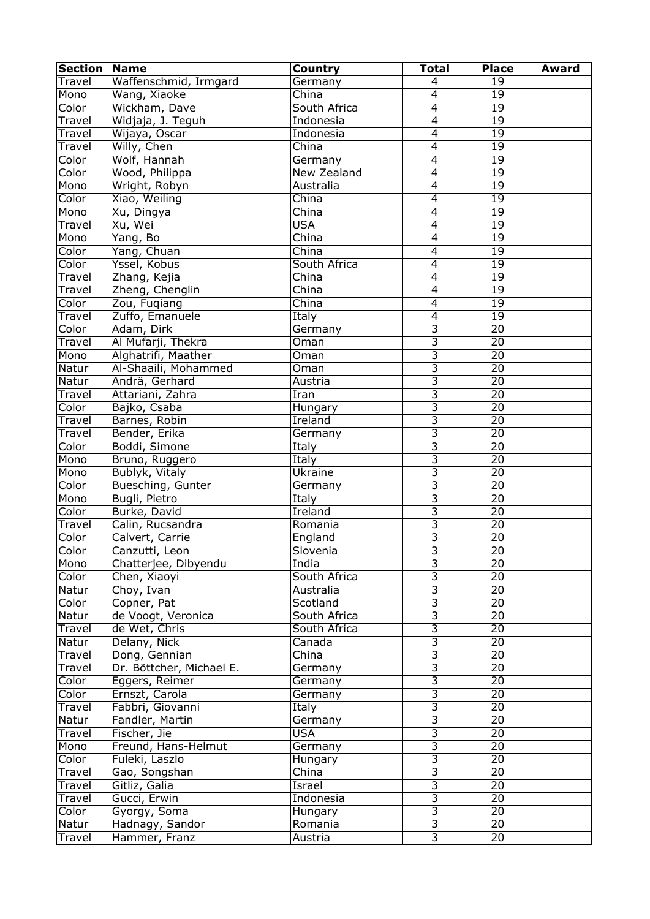| <b>Section</b> | <b>Name</b>              | Country                   | <b>Total</b>              | <b>Place</b>    | <b>Award</b> |
|----------------|--------------------------|---------------------------|---------------------------|-----------------|--------------|
| Travel         | Waffenschmid, Irmgard    | Germany                   | 4                         | 19              |              |
| Mono           | Wang, Xiaoke             | $\overline{\text{China}}$ | $\overline{4}$            | 19              |              |
| Color          | Wickham, Dave            | South Africa              | $\overline{4}$            | 19              |              |
| Travel         | Widjaja, J. Teguh        | Indonesia                 | $\overline{4}$            | 19              |              |
| Travel         | Wijaya, Oscar            | Indonesia                 | $\overline{4}$            | 19              |              |
| Travel         | Willy, Chen              | China                     | $\overline{4}$            | 19              |              |
| Color          | Wolf, Hannah             | Germany                   | $\overline{4}$            | 19              |              |
| Color          | Wood, Philippa           | New Zealand               | $\overline{4}$            | 19              |              |
| Mono           | Wright, Robyn            | Australia                 | $\overline{4}$            | 19              |              |
| Color          | Xiao, Weiling            | China                     | $\overline{4}$            | 19              |              |
| Mono           | Xu, Dingya               | China                     | $\overline{4}$            | 19              |              |
| Travel         | Xu, Wei                  | <b>USA</b>                | $\overline{4}$            | 19              |              |
| Mono           | Yang, Bo                 | China                     | $\overline{4}$            | 19              |              |
| Color          | Yang, Chuan              | China                     | $\overline{4}$            | 19              |              |
| Color          | Yssel, Kobus             | South Africa              | $\overline{4}$            | 19              |              |
| Travel         | Zhang, Kejia             | China                     | $\overline{4}$            | 19              |              |
| Travel         | Zheng, Chenglin          | China                     | $\overline{4}$            | $\overline{19}$ |              |
| Color          | Zou, Fuqiang             | China                     | $\overline{4}$            | 19              |              |
| Travel         | Zuffo, Emanuele          | Italy                     | $\overline{4}$            | 19              |              |
| Color          | Adam, Dirk               | Germany                   | $\overline{3}$            | 20              |              |
| Travel         | Al Mufarji, Thekra       | Oman                      | $\overline{3}$            | 20              |              |
| Mono           | Alghatrifi, Maather      | Oman                      | $\overline{3}$            | 20              |              |
| Natur          | Al-Shaaili, Mohammed     | Oman                      | $\overline{3}$            | 20              |              |
| Natur          | Andrä, Gerhard           | Austria                   | $\overline{3}$            | 20              |              |
| Travel         | Attariani, Zahra         | Iran                      | $\overline{3}$            | 20              |              |
| Color          | Bajko, Csaba             | Hungary                   | $\overline{3}$            | 20              |              |
| Travel         | Barnes, Robin            | <b>Ireland</b>            | $\overline{3}$            | 20              |              |
| Travel         | Bender, Erika            | Germany                   | $\overline{3}$            | 20              |              |
| Color          | Boddi, Simone            | Italy                     | $\overline{3}$            | 20              |              |
| Mono           | Bruno, Ruggero           | Italy                     | $\overline{3}$            | 20              |              |
| Mono           | Bublyk, Vitaly           | Ukraine                   | $\overline{3}$            | $\overline{20}$ |              |
| Color          | Buesching, Gunter        | Germany                   | $\overline{3}$            | $\overline{20}$ |              |
| Mono           | Bugli, Pietro            | Italy                     | $\overline{3}$            | 20              |              |
| Color          | Burke, David             | Ireland                   | $\overline{3}$            | $\overline{20}$ |              |
| Travel         | Calin, Rucsandra         | Romania                   | $\overline{3}$            | $\overline{20}$ |              |
| Color          | Calvert, Carrie          | England                   | $\overline{3}$            | $\overline{20}$ |              |
| Color          | Canzutti, Leon           | Slovenia                  | $\overline{3}$            | 20              |              |
| Mono           | Chatterjee, Dibyendu     | India                     | $\overline{3}$            | 20              |              |
| Color          | Chen, Xiaoyi             | South Africa              | $\overline{3}$            | 20              |              |
| Natur          | Choy, Ivan               | Australia                 | $\overline{3}$            | 20              |              |
| Color          | Copner, Pat              | Scotland                  | $\overline{3}$            | 20              |              |
| Natur          | de Voogt, Veronica       | South Africa              | $\overline{3}$            | $\overline{20}$ |              |
| Travel         | de Wet, Chris            | South Africa              | $\overline{3}$            | 20              |              |
| Natur          | Delany, Nick             | Canada                    | $\overline{3}$            | 20              |              |
| Travel         | Dong, Gennian            | China                     | $\overline{3}$            | 20              |              |
| Travel         | Dr. Böttcher, Michael E. | Germany                   | $\overline{3}$            | 20              |              |
| Color          | Eggers, Reimer           | Germany                   | $\overline{\overline{3}}$ | 20              |              |
| Color          | Ernszt, Carola           | Germany                   | $\overline{3}$            | 20              |              |
| Travel         | Fabbri, Giovanni         | Italy                     | $\overline{3}$            | 20              |              |
| Natur          | Fandler, Martin          | Germany                   | $\overline{3}$            | 20              |              |
| Travel         | Fischer, Jie             | <b>USA</b>                | $\overline{3}$            | 20              |              |
| Mono           | Freund, Hans-Helmut      | Germany                   | $\overline{3}$            | 20              |              |
| Color          | Fuleki, Laszlo           | Hungary                   | $\overline{3}$            | 20              |              |
| Travel         | Gao, Songshan            | China                     | $\overline{3}$            | 20              |              |
| Travel         | Gitliz, Galia            | Israel                    | $\overline{3}$            | 20              |              |
| Travel         | Gucci, Erwin             | Indonesia                 | $\overline{3}$            | 20              |              |
| Color          | Gyorgy, Soma             | Hungary                   | $\overline{3}$            | 20              |              |
| Natur          | Hadnagy, Sandor          | Romania                   | $\overline{\mathbf{3}}$   | 20              |              |
| Travel         | Hammer, Franz            | Austria                   | $\overline{3}$            | 20              |              |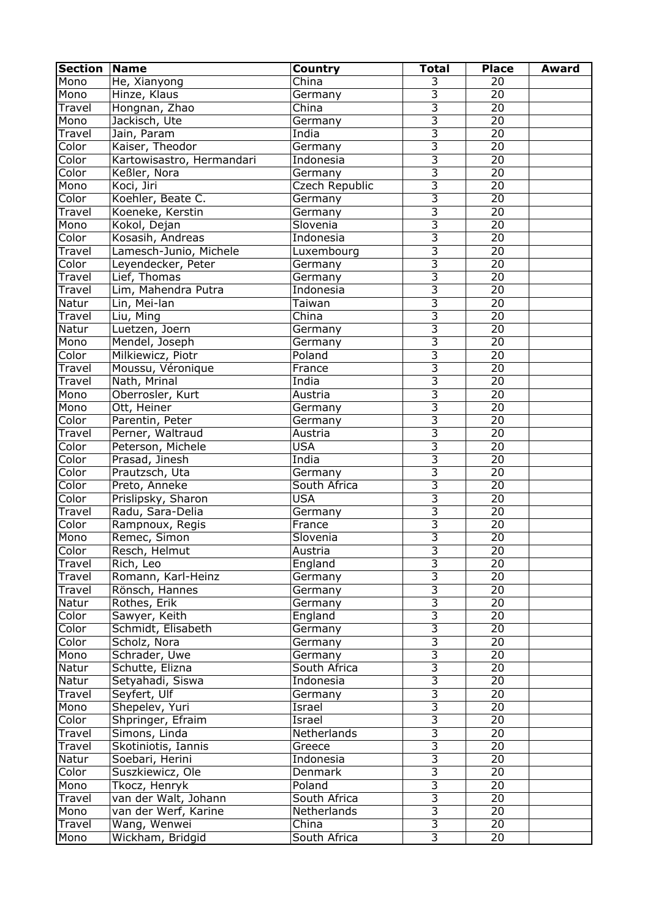| <b>Section</b> | Name                      | Country        | <b>Total</b>            | <b>Place</b>    | <b>Award</b> |
|----------------|---------------------------|----------------|-------------------------|-----------------|--------------|
| Mono           | He, Xianyong              | China          | 3                       | 20              |              |
| Mono           | Hinze, Klaus              | Germany        | 3                       | 20              |              |
| Travel         | Hongnan, Zhao             | China          | $\overline{3}$          | 20              |              |
| Mono           | Jackisch, Ute             | Germany        | $\overline{\mathbf{3}}$ | 20              |              |
| Travel         | Jain, Param               | India          | $\overline{3}$          | $\overline{20}$ |              |
| Color          | Kaiser, Theodor           | Germany        | $\overline{3}$          | $\overline{20}$ |              |
| Color          | Kartowisastro, Hermandari | Indonesia      | $\overline{3}$          | 20              |              |
| Color          | Keßler, Nora              | Germany        | $\overline{3}$          | $\overline{20}$ |              |
| Mono           | Koci, Jiri                | Czech Republic | $\overline{3}$          | $\overline{20}$ |              |
| Color          | Koehler, Beate C.         | Germany        | $\overline{3}$          | $\overline{20}$ |              |
| Travel         | Koeneke, Kerstin          | Germany        | $\overline{3}$          | 20              |              |
| Mono           | Kokol, Dejan              | Slovenia       | $\overline{3}$          | 20              |              |
| Color          | Kosasih, Andreas          | Indonesia      | $\overline{3}$          | 20              |              |
| Travel         | Lamesch-Junio, Michele    | Luxembourg     | $\overline{3}$          | $\overline{20}$ |              |
| Color          | Leyendecker, Peter        | Germany        | $\overline{3}$          | $\overline{20}$ |              |
| Travel         | Lief, Thomas              | Germany        | $\overline{3}$          | 20              |              |
| Travel         | Lim, Mahendra Putra       | Indonesia      | $\overline{3}$          | $\overline{20}$ |              |
| Natur          | Lin, Mei-lan              | Taiwan         | $\overline{3}$          | 20              |              |
| Travel         | Liu, Ming                 | China          | $\overline{3}$          | $\overline{20}$ |              |
| Natur          | Luetzen, Joern            | Germany        | $\overline{3}$          | 20              |              |
| Mono           |                           |                | $\overline{3}$          | 20              |              |
|                | Mendel, Joseph            | Germany        | $\overline{3}$          | 20              |              |
| Color          | Milkiewicz, Piotr         | Poland         | $\overline{3}$          |                 |              |
| Travel         | Moussu, Véronique         | France         | $\overline{3}$          | 20              |              |
| Travel         | Nath, Mrinal              | India          | $\overline{3}$          | 20              |              |
| Mono           | Oberrosler, Kurt          | Austria        |                         | 20              |              |
| Mono           | Ott, Heiner               | Germany        | $\overline{3}$          | 20              |              |
| Color          | Parentin, Peter           | Germany        | $\overline{3}$          | 20              |              |
| Travel         | Perner, Waltraud          | Austria        | $\overline{3}$          | 20              |              |
| Color          | Peterson, Michele         | <b>USA</b>     | $\overline{3}$          | 20              |              |
| Color          | Prasad, Jinesh            | India          | $\overline{3}$          | 20              |              |
| Color          | Prautzsch, Uta            | Germany        | $\overline{3}$          | 20              |              |
| Color          | Preto, Anneke             | South Africa   | $\overline{3}$          | 20              |              |
| Color          | Prislipsky, Sharon        | <b>USA</b>     | $\overline{3}$          | 20              |              |
| Travel         | Radu, Sara-Delia          | Germany        | $\overline{3}$          | 20              |              |
| Color          | Rampnoux, Regis           | France         | $\overline{3}$          | 20              |              |
| Mono           | Remec, Simon              | Slovenia       | $\overline{3}$          | 20              |              |
| Color          | Resch, Helmut             | Austria        | $\overline{3}$          | 20              |              |
| Travel         | Rich, Leo                 | England        | $\overline{3}$          | $\overline{20}$ |              |
| Travel         | Romann, Karl-Heinz        | Germany        | $\overline{3}$          | $\overline{20}$ |              |
| Travel         | Rönsch, Hannes            | Germany        | $\overline{3}$          | 20              |              |
| Natur          | Rothes, Erik              | Germany        | $\overline{3}$          | $\overline{20}$ |              |
| Color          | Sawyer, Keith             | England        | $\overline{3}$          | $\overline{20}$ |              |
| Color          | Schmidt, Elisabeth        | Germany        | $\overline{3}$          | $\overline{20}$ |              |
| Color          | Scholz, Nora              | Germany        | $\overline{3}$          | 20              |              |
| Mono           | Schrader, Uwe             | Germany        | $\overline{3}$          | 20              |              |
| Natur          | Schutte, Elizna           | South Africa   | $\overline{3}$          | $\overline{20}$ |              |
| Natur          | Setyahadi, Siswa          | Indonesia      | $\overline{3}$          | $\overline{20}$ |              |
| Travel         | Seyfert, Ulf              | Germany        | $\overline{3}$          | $\overline{20}$ |              |
| Mono           | Shepelev, Yuri            | Israel         | $\overline{3}$          | 20              |              |
| Color          | Shpringer, Efraim         | Israel         | $\overline{3}$          | $\overline{20}$ |              |
| Travel         | Simons, Linda             | Netherlands    | $\overline{3}$          | 20              |              |
| Travel         | Skotiniotis, Iannis       | Greece         | $\overline{3}$          | 20              |              |
| Natur          | Soebari, Herini           | Indonesia      | $\overline{3}$          | 20              |              |
| Color          | Suszkiewicz, Ole          | Denmark        | $\overline{3}$          | 20              |              |
| Mono           | Tkocz, Henryk             | Poland         | $\overline{3}$          | 20              |              |
| Travel         | van der Walt, Johann      | South Africa   | $\overline{3}$          | 20              |              |
| Mono           | van der Werf, Karine      | Netherlands    | $\overline{3}$          | $\overline{20}$ |              |
| Travel         | Wang, Wenwei              | China          | $\overline{3}$          | 20              |              |
|                |                           | South Africa   | $\overline{3}$          | 20              |              |
| Mono           | Wickham, Bridgid          |                |                         |                 |              |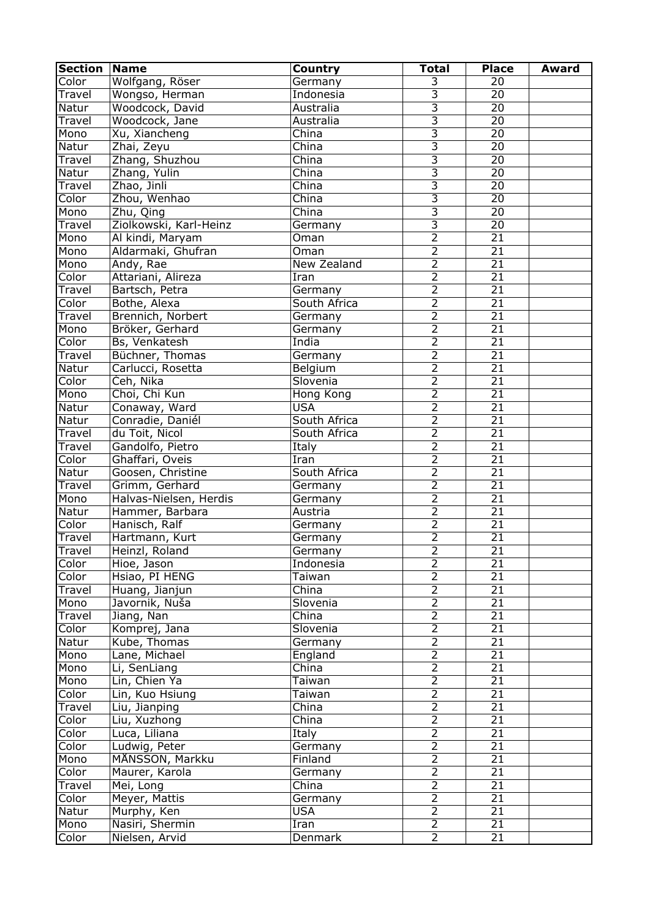| <b>Section</b> | <b>Name</b>            | <b>Country</b> | <b>Total</b>              | <b>Place</b>    | <b>Award</b> |
|----------------|------------------------|----------------|---------------------------|-----------------|--------------|
| Color          | Wolfgang, Röser        | Germany        | 3                         | 20              |              |
| Travel         | Wongso, Herman         | Indonesia      | $\overline{3}$            | 20              |              |
| Natur          | Woodcock, David        | Australia      | $\overline{3}$            | 20              |              |
| Travel         | Woodcock, Jane         | Australia      | $\overline{3}$            | 20              |              |
| Mono           | Xu, Xiancheng          | China          | $\overline{3}$            | $\overline{20}$ |              |
| Natur          | Zhai, Zeyu             | China          | $\overline{3}$            | $\overline{20}$ |              |
| Travel         | Zhang, Shuzhou         | China          | $\overline{3}$            | $\overline{20}$ |              |
| Natur          | Zhang, Yulin           | China          | $\overline{3}$            | $\overline{20}$ |              |
| Travel         | Zhao, Jinli            | China          | $\overline{3}$            | $\overline{20}$ |              |
| Color          | Zhou, Wenhao           | China          | $\overline{\overline{3}}$ | $\overline{20}$ |              |
| Mono           | Zhu, Qing              | China          | $\overline{3}$            | 20              |              |
| Travel         | Ziolkowski, Karl-Heinz | Germany        | $\overline{3}$            | 20              |              |
| Mono           | Al kindi, Maryam       | Oman           | $\overline{2}$            | $\overline{21}$ |              |
| Mono           | Aldarmaki, Ghufran     | Oman           | $\overline{2}$            | $\overline{21}$ |              |
| Mono           | Andy, Rae              | New Zealand    | $\overline{2}$            | $\overline{21}$ |              |
| Color          | Attariani, Alireza     | Iran           | $\overline{2}$            | $\overline{21}$ |              |
| Travel         | Bartsch, Petra         | Germany        | $\overline{2}$            | $\overline{21}$ |              |
| Color          | Bothe, Alexa           | South Africa   | $\overline{2}$            | $\overline{21}$ |              |
| Travel         | Brennich, Norbert      | Germany        | $\overline{2}$            | $\overline{21}$ |              |
| Mono           | Bröker, Gerhard        | Germany        | $\overline{2}$            | $\overline{21}$ |              |
| Color          | Bs, Venkatesh          | India          | $\overline{2}$            | $\overline{21}$ |              |
| Travel         | Büchner, Thomas        | Germany        | $\overline{2}$            | $\overline{21}$ |              |
| Natur          | Carlucci, Rosetta      | Belgium        | $\overline{2}$            | $\overline{21}$ |              |
| Color          | Čeh, Nika              | Slovenia       | $\overline{2}$            | $\overline{21}$ |              |
| Mono           | Choi, Chi Kun          | Hong Kong      | $\overline{2}$            | $\overline{21}$ |              |
| Natur          | Conaway, Ward          | <b>USA</b>     | $\overline{2}$            | 21              |              |
| Natur          | Conradie, Daniél       | South Africa   | $\overline{2}$            | $\overline{21}$ |              |
| Travel         | du Toit, Nicol         | South Africa   | $\overline{2}$            | $\overline{21}$ |              |
| Travel         | Gandolfo, Pietro       | Italy          | $\overline{2}$            | $\overline{21}$ |              |
| Color          | Ghaffari, Oveis        | Iran           | $\overline{2}$            | $\overline{21}$ |              |
| Natur          | Goosen, Christine      | South Africa   | $\overline{2}$            | 21              |              |
| Travel         | Grimm, Gerhard         | Germany        | $\overline{2}$            | $\overline{21}$ |              |
| Mono           | Halvas-Nielsen, Herdis | Germany        | $\overline{2}$            | $\overline{21}$ |              |
| Natur          | Hammer, Barbara        | Austria        | $\overline{2}$            | $\overline{21}$ |              |
| Color          | Hanisch, Ralf          | Germany        | $\overline{2}$            | 21              |              |
| Travel         | Hartmann, Kurt         | Germany        | $\overline{2}$            | 21              |              |
| Travel         | Heinzl, Roland         | Germany        | $\overline{2}$            | 21              |              |
| Color          | Hioe, Jason            | Indonesia      | $\overline{2}$            | $\overline{21}$ |              |
| Color          | Hsiao, PI HENG         | Taiwan         | $\overline{2}$            | $\overline{21}$ |              |
| Travel         | Huang, Jianjun         | China          | $\overline{2}$            | 21              |              |
| Mono           | Javornik, Nuša         | Slovenia       | $\overline{2}$            | $\overline{21}$ |              |
| Travel         | Jiang, Nan             | China          | $\overline{2}$            | $\overline{21}$ |              |
| Color          | Komprej, Jana          | Slovenia       | $\overline{2}$            | $\overline{21}$ |              |
| Natur          | Kube, Thomas           | Germany        | $\overline{2}$            | 21              |              |
| Mono           | Lane, Michael          | England        | $\overline{2}$            | 21              |              |
| Mono           | Li, SenLiang           | China          | $\overline{2}$            | $\overline{21}$ |              |
| Mono           | Lin, Chien Ya          | Taiwan         | $\overline{2}$            | $\overline{21}$ |              |
| Color          | Lin, Kuo Hsiung        | Taiwan         | $\overline{2}$            | $\overline{21}$ |              |
| Travel         | Liu, Jianping          | China          | $\overline{2}$            | 21              |              |
| Color          | Liu, Xuzhong           | China          | $\overline{2}$            | 21              |              |
| Color          | Luca, Liliana          | Italy          | $\overline{2}$            | 21              |              |
| Color          | Ludwig, Peter          | Germany        | $\overline{2}$            | 21              |              |
| Mono           | MÅNSSON, Markku        | Finland        | $\overline{2}$            | 21              |              |
| Color          | Maurer, Karola         | Germany        | $\overline{2}$            | 21              |              |
| Travel         | Mei, Long              | China          | $\overline{2}$            | 21              |              |
| Color          | Meyer, Mattis          | Germany        | $\overline{2}$            | 21              |              |
| Natur          | Murphy, Ken            | <b>USA</b>     | $\overline{2}$            | $\overline{21}$ |              |
| Mono           | Nasiri, Shermin        | Iran           | $\overline{2}$            | 21              |              |
| Color          | Nielsen, Arvid         | Denmark        | $\overline{2}$            | 21              |              |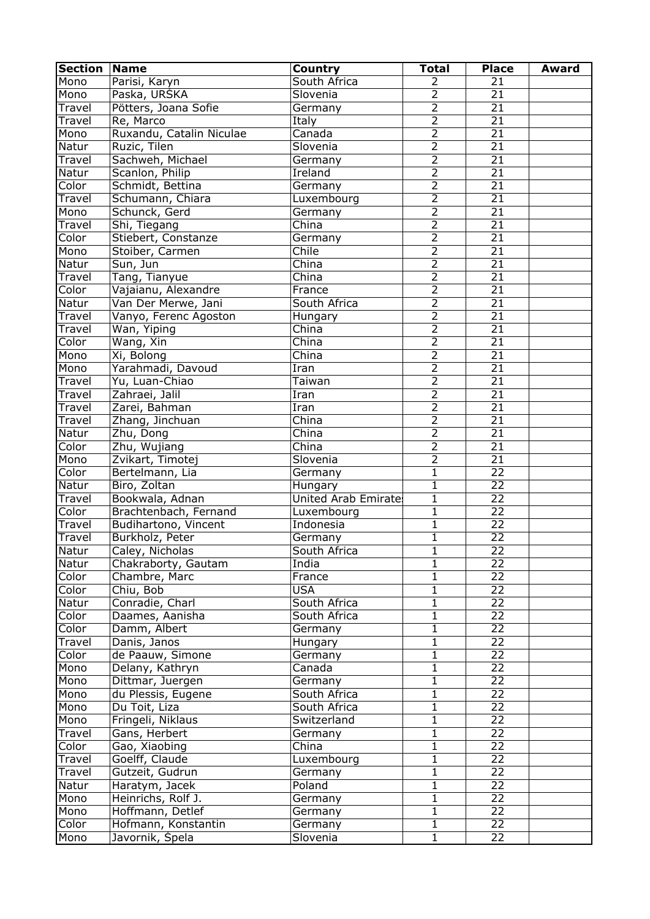| South Africa<br>Mono<br>2<br>21<br>Parisi, Karyn<br>2<br>Paska, URSKA<br>Slovenia<br>21<br>Mono<br>$\overline{2}$<br>21<br>Pötters, Joana Sofie<br>Travel<br>Germany<br>$\overline{2}$<br>$\overline{21}$<br>Re, Marco<br>Italy<br>Travel<br>$\overline{2}$<br>$\overline{21}$<br>Ruxandu, Catalin Niculae<br>Canada<br>Mono<br>$\overline{2}$<br>$\overline{21}$<br>Ruzic, Tilen<br>Slovenia<br>Natur<br>$\overline{2}$<br>$\overline{21}$<br>Sachweh, Michael<br>Travel<br>Germany<br>$\overline{2}$<br>$\overline{21}$<br>Scanlon, Philip<br>Natur<br>Ireland<br>$\overline{2}$<br>$\overline{21}$<br>Color<br>Schmidt, Bettina<br>Germany<br>$\overline{2}$<br>$\overline{21}$<br>Travel<br>Schumann, Chiara<br>Luxembourg<br>$\overline{2}$<br>$\overline{21}$<br>Schunck, Gerd<br>Mono<br>Germany<br>$\overline{2}$<br>$\overline{21}$<br>China<br>Shi, Tiegang<br>Travel<br>$\overline{2}$<br>$\overline{21}$<br>Color<br>Stiebert, Constanze<br>Germany<br>$\overline{2}$<br>Chile<br>$\overline{21}$<br>Mono<br>Stoiber, Carmen<br>$\overline{2}$<br>$\overline{21}$<br>China<br>Natur<br>Sun, Jun<br>$\overline{2}$<br>$\overline{21}$<br>Tang, Tianyue<br>China<br>Travel<br>$\overline{2}$<br>$\overline{21}$<br>Color<br>Vajaianu, Alexandre<br>France<br>$\overline{2}$<br>$\overline{21}$<br>Natur<br>Van Der Merwe, Jani<br>South Africa<br>$\overline{2}$<br>$\overline{21}$<br>Travel<br>Vanyo, Ferenc Agoston<br>Hungary<br>$\overline{2}$<br>$\overline{21}$<br>China<br>Wan, Yiping<br>Travel<br>$\overline{2}$<br>$\overline{21}$<br>China<br>Color<br>Wang, Xin<br>$\overline{2}$<br>$\overline{21}$<br>China<br>Mono<br>Xi, Bolong<br>$\overline{2}$<br>$\overline{21}$<br>Yarahmadi, Davoud<br>Mono<br>Iran<br>$\overline{2}$<br>$\overline{21}$<br>Travel<br>Yu, Luan-Chiao<br>Taiwan<br>$\overline{2}$<br>$\overline{21}$<br>Zahraei, Jalil<br>Travel<br>Iran<br>$\overline{2}$<br>Zarei, Bahman<br>21<br>Iran<br>Travel<br>$\overline{2}$<br>$\overline{21}$<br>Zhang, Jinchuan<br>China<br>Travel<br>$\overline{2}$<br>$\overline{21}$<br>Zhu, Dong<br>China<br>Natur<br>$\overline{2}$<br>$\overline{21}$<br>China<br>Color<br>Zhu, Wujiang<br>$\overline{2}$<br>$\overline{21}$<br>Zvikart, Timotej<br>Slovenia<br>Mono<br>$\overline{22}$<br>$\mathbf{1}$<br>Color<br>Bertelmann, Lia<br>Germany<br>$\overline{22}$<br>Biro, Zoltan<br>$\mathbf{1}$<br>Natur<br>Hungary<br>$\overline{22}$<br>Bookwala, Adnan<br>$\mathbf{1}$<br><b>Travel</b><br>United Arab Emirates<br>$\overline{22}$<br>$\mathbf{1}$<br>Color<br>Brachtenbach, Fernand<br>Luxembourg<br>$\overline{22}$<br>$\mathbf{1}$<br>Travel<br>Budihartono, Vincent<br>Indonesia<br>$\overline{22}$<br>Travel<br>Burkholz, Peter<br>$\mathbf{1}$<br>Germany<br>22<br>Natur<br>Caley, Nicholas<br>South Africa<br>1<br>$\overline{22}$<br>$\mathbf{1}$<br>Natur<br>Chakraborty, Gautam<br>India<br>$\overline{22}$<br>Chambre, Marc<br>1<br>Color<br>France<br>$\overline{22}$<br><b>USA</b><br>$\mathbf{1}$<br>Chiu, Bob<br>Color<br>Conradie, Charl<br>$\overline{22}$<br>South Africa<br>$\mathbf{1}$<br>Natur<br>$\overline{22}$<br>Daames, Aanisha<br>$\mathbf{1}$<br>Color<br>South Africa<br>$\overline{22}$<br>Damm, Albert<br>$\mathbf 1$<br>Color<br>Germany<br>$\overline{22}$<br>Danis, Janos<br>1<br>Travel<br>Hungary<br>de Paauw, Simone<br>22<br>1<br>Color<br>Germany<br>$\overline{22}$<br>Delany, Kathryn<br>1<br>Mono<br>Canada<br>$\overline{22}$<br>Mono<br>Dittmar, Juergen<br>$\mathbf 1$<br>Germany<br>$\overline{22}$<br>du Plessis, Eugene<br>South Africa<br>1<br>Mono<br>22<br>Du Toit, Liza<br>1<br>Mono<br>South Africa<br>$\overline{22}$<br>Fringeli, Niklaus<br>$\mathbf{1}$<br>Mono<br>Switzerland<br>Gans, Herbert<br>$\mathbf{1}$<br>22<br>Travel<br>Germany<br>Gao, Xiaobing<br>$\mathbf{1}$<br>22<br>Color<br>China<br>Goelff, Claude<br>Luxembourg<br>1<br>22<br>Travel<br>Gutzeit, Gudrun<br>1<br>22<br>Travel<br>Germany<br>$\mathbf{1}$<br>22<br>Natur<br>Haratym, Jacek<br>Poland<br>Heinrichs, Rolf J.<br>$\mathbf{1}$<br>22<br>Mono<br>Germany<br>$\overline{22}$<br>Mono<br>Hoffmann, Detlef<br>1<br>Germany<br>Hofmann, Konstantin<br>Color<br>22<br>Germany<br>1<br>Javornik, Špela<br>$\mathbf{1}$<br>22<br>Mono<br>Slovenia | <b>Section</b> | <b>Name</b> | Country | <b>Total</b> | <b>Place</b> | <b>Award</b> |
|--------------------------------------------------------------------------------------------------------------------------------------------------------------------------------------------------------------------------------------------------------------------------------------------------------------------------------------------------------------------------------------------------------------------------------------------------------------------------------------------------------------------------------------------------------------------------------------------------------------------------------------------------------------------------------------------------------------------------------------------------------------------------------------------------------------------------------------------------------------------------------------------------------------------------------------------------------------------------------------------------------------------------------------------------------------------------------------------------------------------------------------------------------------------------------------------------------------------------------------------------------------------------------------------------------------------------------------------------------------------------------------------------------------------------------------------------------------------------------------------------------------------------------------------------------------------------------------------------------------------------------------------------------------------------------------------------------------------------------------------------------------------------------------------------------------------------------------------------------------------------------------------------------------------------------------------------------------------------------------------------------------------------------------------------------------------------------------------------------------------------------------------------------------------------------------------------------------------------------------------------------------------------------------------------------------------------------------------------------------------------------------------------------------------------------------------------------------------------------------------------------------------------------------------------------------------------------------------------------------------------------------------------------------------------------------------------------------------------------------------------------------------------------------------------------------------------------------------------------------------------------------------------------------------------------------------------------------------------------------------------------------------------------------------------------------------------------------------------------------------------------------------------------------------------------------------------------------------------------------------------------------------------------------------------------------------------------------------------------------------------------------------------------------------------------------------------------------------------------------------------------------------------------------------------------------------------------------------------------------------------------------------------------------------------------------------------------------------------------------------------------------------------------------------------------------------------------------------------------------------------------------------------------------------------------------------------------------------------------------------------------------------------------------------------------------------------------------------------------------------------------------------------------------------------------------------------------------------------------------------------------------------------|----------------|-------------|---------|--------------|--------------|--------------|
|                                                                                                                                                                                                                                                                                                                                                                                                                                                                                                                                                                                                                                                                                                                                                                                                                                                                                                                                                                                                                                                                                                                                                                                                                                                                                                                                                                                                                                                                                                                                                                                                                                                                                                                                                                                                                                                                                                                                                                                                                                                                                                                                                                                                                                                                                                                                                                                                                                                                                                                                                                                                                                                                                                                                                                                                                                                                                                                                                                                                                                                                                                                                                                                                                                                                                                                                                                                                                                                                                                                                                                                                                                                                                                                                                                                                                                                                                                                                                                                                                                                                                                                                                                                                                                                                          |                |             |         |              |              |              |
|                                                                                                                                                                                                                                                                                                                                                                                                                                                                                                                                                                                                                                                                                                                                                                                                                                                                                                                                                                                                                                                                                                                                                                                                                                                                                                                                                                                                                                                                                                                                                                                                                                                                                                                                                                                                                                                                                                                                                                                                                                                                                                                                                                                                                                                                                                                                                                                                                                                                                                                                                                                                                                                                                                                                                                                                                                                                                                                                                                                                                                                                                                                                                                                                                                                                                                                                                                                                                                                                                                                                                                                                                                                                                                                                                                                                                                                                                                                                                                                                                                                                                                                                                                                                                                                                          |                |             |         |              |              |              |
|                                                                                                                                                                                                                                                                                                                                                                                                                                                                                                                                                                                                                                                                                                                                                                                                                                                                                                                                                                                                                                                                                                                                                                                                                                                                                                                                                                                                                                                                                                                                                                                                                                                                                                                                                                                                                                                                                                                                                                                                                                                                                                                                                                                                                                                                                                                                                                                                                                                                                                                                                                                                                                                                                                                                                                                                                                                                                                                                                                                                                                                                                                                                                                                                                                                                                                                                                                                                                                                                                                                                                                                                                                                                                                                                                                                                                                                                                                                                                                                                                                                                                                                                                                                                                                                                          |                |             |         |              |              |              |
|                                                                                                                                                                                                                                                                                                                                                                                                                                                                                                                                                                                                                                                                                                                                                                                                                                                                                                                                                                                                                                                                                                                                                                                                                                                                                                                                                                                                                                                                                                                                                                                                                                                                                                                                                                                                                                                                                                                                                                                                                                                                                                                                                                                                                                                                                                                                                                                                                                                                                                                                                                                                                                                                                                                                                                                                                                                                                                                                                                                                                                                                                                                                                                                                                                                                                                                                                                                                                                                                                                                                                                                                                                                                                                                                                                                                                                                                                                                                                                                                                                                                                                                                                                                                                                                                          |                |             |         |              |              |              |
|                                                                                                                                                                                                                                                                                                                                                                                                                                                                                                                                                                                                                                                                                                                                                                                                                                                                                                                                                                                                                                                                                                                                                                                                                                                                                                                                                                                                                                                                                                                                                                                                                                                                                                                                                                                                                                                                                                                                                                                                                                                                                                                                                                                                                                                                                                                                                                                                                                                                                                                                                                                                                                                                                                                                                                                                                                                                                                                                                                                                                                                                                                                                                                                                                                                                                                                                                                                                                                                                                                                                                                                                                                                                                                                                                                                                                                                                                                                                                                                                                                                                                                                                                                                                                                                                          |                |             |         |              |              |              |
|                                                                                                                                                                                                                                                                                                                                                                                                                                                                                                                                                                                                                                                                                                                                                                                                                                                                                                                                                                                                                                                                                                                                                                                                                                                                                                                                                                                                                                                                                                                                                                                                                                                                                                                                                                                                                                                                                                                                                                                                                                                                                                                                                                                                                                                                                                                                                                                                                                                                                                                                                                                                                                                                                                                                                                                                                                                                                                                                                                                                                                                                                                                                                                                                                                                                                                                                                                                                                                                                                                                                                                                                                                                                                                                                                                                                                                                                                                                                                                                                                                                                                                                                                                                                                                                                          |                |             |         |              |              |              |
|                                                                                                                                                                                                                                                                                                                                                                                                                                                                                                                                                                                                                                                                                                                                                                                                                                                                                                                                                                                                                                                                                                                                                                                                                                                                                                                                                                                                                                                                                                                                                                                                                                                                                                                                                                                                                                                                                                                                                                                                                                                                                                                                                                                                                                                                                                                                                                                                                                                                                                                                                                                                                                                                                                                                                                                                                                                                                                                                                                                                                                                                                                                                                                                                                                                                                                                                                                                                                                                                                                                                                                                                                                                                                                                                                                                                                                                                                                                                                                                                                                                                                                                                                                                                                                                                          |                |             |         |              |              |              |
|                                                                                                                                                                                                                                                                                                                                                                                                                                                                                                                                                                                                                                                                                                                                                                                                                                                                                                                                                                                                                                                                                                                                                                                                                                                                                                                                                                                                                                                                                                                                                                                                                                                                                                                                                                                                                                                                                                                                                                                                                                                                                                                                                                                                                                                                                                                                                                                                                                                                                                                                                                                                                                                                                                                                                                                                                                                                                                                                                                                                                                                                                                                                                                                                                                                                                                                                                                                                                                                                                                                                                                                                                                                                                                                                                                                                                                                                                                                                                                                                                                                                                                                                                                                                                                                                          |                |             |         |              |              |              |
|                                                                                                                                                                                                                                                                                                                                                                                                                                                                                                                                                                                                                                                                                                                                                                                                                                                                                                                                                                                                                                                                                                                                                                                                                                                                                                                                                                                                                                                                                                                                                                                                                                                                                                                                                                                                                                                                                                                                                                                                                                                                                                                                                                                                                                                                                                                                                                                                                                                                                                                                                                                                                                                                                                                                                                                                                                                                                                                                                                                                                                                                                                                                                                                                                                                                                                                                                                                                                                                                                                                                                                                                                                                                                                                                                                                                                                                                                                                                                                                                                                                                                                                                                                                                                                                                          |                |             |         |              |              |              |
|                                                                                                                                                                                                                                                                                                                                                                                                                                                                                                                                                                                                                                                                                                                                                                                                                                                                                                                                                                                                                                                                                                                                                                                                                                                                                                                                                                                                                                                                                                                                                                                                                                                                                                                                                                                                                                                                                                                                                                                                                                                                                                                                                                                                                                                                                                                                                                                                                                                                                                                                                                                                                                                                                                                                                                                                                                                                                                                                                                                                                                                                                                                                                                                                                                                                                                                                                                                                                                                                                                                                                                                                                                                                                                                                                                                                                                                                                                                                                                                                                                                                                                                                                                                                                                                                          |                |             |         |              |              |              |
|                                                                                                                                                                                                                                                                                                                                                                                                                                                                                                                                                                                                                                                                                                                                                                                                                                                                                                                                                                                                                                                                                                                                                                                                                                                                                                                                                                                                                                                                                                                                                                                                                                                                                                                                                                                                                                                                                                                                                                                                                                                                                                                                                                                                                                                                                                                                                                                                                                                                                                                                                                                                                                                                                                                                                                                                                                                                                                                                                                                                                                                                                                                                                                                                                                                                                                                                                                                                                                                                                                                                                                                                                                                                                                                                                                                                                                                                                                                                                                                                                                                                                                                                                                                                                                                                          |                |             |         |              |              |              |
|                                                                                                                                                                                                                                                                                                                                                                                                                                                                                                                                                                                                                                                                                                                                                                                                                                                                                                                                                                                                                                                                                                                                                                                                                                                                                                                                                                                                                                                                                                                                                                                                                                                                                                                                                                                                                                                                                                                                                                                                                                                                                                                                                                                                                                                                                                                                                                                                                                                                                                                                                                                                                                                                                                                                                                                                                                                                                                                                                                                                                                                                                                                                                                                                                                                                                                                                                                                                                                                                                                                                                                                                                                                                                                                                                                                                                                                                                                                                                                                                                                                                                                                                                                                                                                                                          |                |             |         |              |              |              |
|                                                                                                                                                                                                                                                                                                                                                                                                                                                                                                                                                                                                                                                                                                                                                                                                                                                                                                                                                                                                                                                                                                                                                                                                                                                                                                                                                                                                                                                                                                                                                                                                                                                                                                                                                                                                                                                                                                                                                                                                                                                                                                                                                                                                                                                                                                                                                                                                                                                                                                                                                                                                                                                                                                                                                                                                                                                                                                                                                                                                                                                                                                                                                                                                                                                                                                                                                                                                                                                                                                                                                                                                                                                                                                                                                                                                                                                                                                                                                                                                                                                                                                                                                                                                                                                                          |                |             |         |              |              |              |
|                                                                                                                                                                                                                                                                                                                                                                                                                                                                                                                                                                                                                                                                                                                                                                                                                                                                                                                                                                                                                                                                                                                                                                                                                                                                                                                                                                                                                                                                                                                                                                                                                                                                                                                                                                                                                                                                                                                                                                                                                                                                                                                                                                                                                                                                                                                                                                                                                                                                                                                                                                                                                                                                                                                                                                                                                                                                                                                                                                                                                                                                                                                                                                                                                                                                                                                                                                                                                                                                                                                                                                                                                                                                                                                                                                                                                                                                                                                                                                                                                                                                                                                                                                                                                                                                          |                |             |         |              |              |              |
|                                                                                                                                                                                                                                                                                                                                                                                                                                                                                                                                                                                                                                                                                                                                                                                                                                                                                                                                                                                                                                                                                                                                                                                                                                                                                                                                                                                                                                                                                                                                                                                                                                                                                                                                                                                                                                                                                                                                                                                                                                                                                                                                                                                                                                                                                                                                                                                                                                                                                                                                                                                                                                                                                                                                                                                                                                                                                                                                                                                                                                                                                                                                                                                                                                                                                                                                                                                                                                                                                                                                                                                                                                                                                                                                                                                                                                                                                                                                                                                                                                                                                                                                                                                                                                                                          |                |             |         |              |              |              |
|                                                                                                                                                                                                                                                                                                                                                                                                                                                                                                                                                                                                                                                                                                                                                                                                                                                                                                                                                                                                                                                                                                                                                                                                                                                                                                                                                                                                                                                                                                                                                                                                                                                                                                                                                                                                                                                                                                                                                                                                                                                                                                                                                                                                                                                                                                                                                                                                                                                                                                                                                                                                                                                                                                                                                                                                                                                                                                                                                                                                                                                                                                                                                                                                                                                                                                                                                                                                                                                                                                                                                                                                                                                                                                                                                                                                                                                                                                                                                                                                                                                                                                                                                                                                                                                                          |                |             |         |              |              |              |
|                                                                                                                                                                                                                                                                                                                                                                                                                                                                                                                                                                                                                                                                                                                                                                                                                                                                                                                                                                                                                                                                                                                                                                                                                                                                                                                                                                                                                                                                                                                                                                                                                                                                                                                                                                                                                                                                                                                                                                                                                                                                                                                                                                                                                                                                                                                                                                                                                                                                                                                                                                                                                                                                                                                                                                                                                                                                                                                                                                                                                                                                                                                                                                                                                                                                                                                                                                                                                                                                                                                                                                                                                                                                                                                                                                                                                                                                                                                                                                                                                                                                                                                                                                                                                                                                          |                |             |         |              |              |              |
|                                                                                                                                                                                                                                                                                                                                                                                                                                                                                                                                                                                                                                                                                                                                                                                                                                                                                                                                                                                                                                                                                                                                                                                                                                                                                                                                                                                                                                                                                                                                                                                                                                                                                                                                                                                                                                                                                                                                                                                                                                                                                                                                                                                                                                                                                                                                                                                                                                                                                                                                                                                                                                                                                                                                                                                                                                                                                                                                                                                                                                                                                                                                                                                                                                                                                                                                                                                                                                                                                                                                                                                                                                                                                                                                                                                                                                                                                                                                                                                                                                                                                                                                                                                                                                                                          |                |             |         |              |              |              |
|                                                                                                                                                                                                                                                                                                                                                                                                                                                                                                                                                                                                                                                                                                                                                                                                                                                                                                                                                                                                                                                                                                                                                                                                                                                                                                                                                                                                                                                                                                                                                                                                                                                                                                                                                                                                                                                                                                                                                                                                                                                                                                                                                                                                                                                                                                                                                                                                                                                                                                                                                                                                                                                                                                                                                                                                                                                                                                                                                                                                                                                                                                                                                                                                                                                                                                                                                                                                                                                                                                                                                                                                                                                                                                                                                                                                                                                                                                                                                                                                                                                                                                                                                                                                                                                                          |                |             |         |              |              |              |
|                                                                                                                                                                                                                                                                                                                                                                                                                                                                                                                                                                                                                                                                                                                                                                                                                                                                                                                                                                                                                                                                                                                                                                                                                                                                                                                                                                                                                                                                                                                                                                                                                                                                                                                                                                                                                                                                                                                                                                                                                                                                                                                                                                                                                                                                                                                                                                                                                                                                                                                                                                                                                                                                                                                                                                                                                                                                                                                                                                                                                                                                                                                                                                                                                                                                                                                                                                                                                                                                                                                                                                                                                                                                                                                                                                                                                                                                                                                                                                                                                                                                                                                                                                                                                                                                          |                |             |         |              |              |              |
|                                                                                                                                                                                                                                                                                                                                                                                                                                                                                                                                                                                                                                                                                                                                                                                                                                                                                                                                                                                                                                                                                                                                                                                                                                                                                                                                                                                                                                                                                                                                                                                                                                                                                                                                                                                                                                                                                                                                                                                                                                                                                                                                                                                                                                                                                                                                                                                                                                                                                                                                                                                                                                                                                                                                                                                                                                                                                                                                                                                                                                                                                                                                                                                                                                                                                                                                                                                                                                                                                                                                                                                                                                                                                                                                                                                                                                                                                                                                                                                                                                                                                                                                                                                                                                                                          |                |             |         |              |              |              |
|                                                                                                                                                                                                                                                                                                                                                                                                                                                                                                                                                                                                                                                                                                                                                                                                                                                                                                                                                                                                                                                                                                                                                                                                                                                                                                                                                                                                                                                                                                                                                                                                                                                                                                                                                                                                                                                                                                                                                                                                                                                                                                                                                                                                                                                                                                                                                                                                                                                                                                                                                                                                                                                                                                                                                                                                                                                                                                                                                                                                                                                                                                                                                                                                                                                                                                                                                                                                                                                                                                                                                                                                                                                                                                                                                                                                                                                                                                                                                                                                                                                                                                                                                                                                                                                                          |                |             |         |              |              |              |
|                                                                                                                                                                                                                                                                                                                                                                                                                                                                                                                                                                                                                                                                                                                                                                                                                                                                                                                                                                                                                                                                                                                                                                                                                                                                                                                                                                                                                                                                                                                                                                                                                                                                                                                                                                                                                                                                                                                                                                                                                                                                                                                                                                                                                                                                                                                                                                                                                                                                                                                                                                                                                                                                                                                                                                                                                                                                                                                                                                                                                                                                                                                                                                                                                                                                                                                                                                                                                                                                                                                                                                                                                                                                                                                                                                                                                                                                                                                                                                                                                                                                                                                                                                                                                                                                          |                |             |         |              |              |              |
|                                                                                                                                                                                                                                                                                                                                                                                                                                                                                                                                                                                                                                                                                                                                                                                                                                                                                                                                                                                                                                                                                                                                                                                                                                                                                                                                                                                                                                                                                                                                                                                                                                                                                                                                                                                                                                                                                                                                                                                                                                                                                                                                                                                                                                                                                                                                                                                                                                                                                                                                                                                                                                                                                                                                                                                                                                                                                                                                                                                                                                                                                                                                                                                                                                                                                                                                                                                                                                                                                                                                                                                                                                                                                                                                                                                                                                                                                                                                                                                                                                                                                                                                                                                                                                                                          |                |             |         |              |              |              |
|                                                                                                                                                                                                                                                                                                                                                                                                                                                                                                                                                                                                                                                                                                                                                                                                                                                                                                                                                                                                                                                                                                                                                                                                                                                                                                                                                                                                                                                                                                                                                                                                                                                                                                                                                                                                                                                                                                                                                                                                                                                                                                                                                                                                                                                                                                                                                                                                                                                                                                                                                                                                                                                                                                                                                                                                                                                                                                                                                                                                                                                                                                                                                                                                                                                                                                                                                                                                                                                                                                                                                                                                                                                                                                                                                                                                                                                                                                                                                                                                                                                                                                                                                                                                                                                                          |                |             |         |              |              |              |
|                                                                                                                                                                                                                                                                                                                                                                                                                                                                                                                                                                                                                                                                                                                                                                                                                                                                                                                                                                                                                                                                                                                                                                                                                                                                                                                                                                                                                                                                                                                                                                                                                                                                                                                                                                                                                                                                                                                                                                                                                                                                                                                                                                                                                                                                                                                                                                                                                                                                                                                                                                                                                                                                                                                                                                                                                                                                                                                                                                                                                                                                                                                                                                                                                                                                                                                                                                                                                                                                                                                                                                                                                                                                                                                                                                                                                                                                                                                                                                                                                                                                                                                                                                                                                                                                          |                |             |         |              |              |              |
|                                                                                                                                                                                                                                                                                                                                                                                                                                                                                                                                                                                                                                                                                                                                                                                                                                                                                                                                                                                                                                                                                                                                                                                                                                                                                                                                                                                                                                                                                                                                                                                                                                                                                                                                                                                                                                                                                                                                                                                                                                                                                                                                                                                                                                                                                                                                                                                                                                                                                                                                                                                                                                                                                                                                                                                                                                                                                                                                                                                                                                                                                                                                                                                                                                                                                                                                                                                                                                                                                                                                                                                                                                                                                                                                                                                                                                                                                                                                                                                                                                                                                                                                                                                                                                                                          |                |             |         |              |              |              |
|                                                                                                                                                                                                                                                                                                                                                                                                                                                                                                                                                                                                                                                                                                                                                                                                                                                                                                                                                                                                                                                                                                                                                                                                                                                                                                                                                                                                                                                                                                                                                                                                                                                                                                                                                                                                                                                                                                                                                                                                                                                                                                                                                                                                                                                                                                                                                                                                                                                                                                                                                                                                                                                                                                                                                                                                                                                                                                                                                                                                                                                                                                                                                                                                                                                                                                                                                                                                                                                                                                                                                                                                                                                                                                                                                                                                                                                                                                                                                                                                                                                                                                                                                                                                                                                                          |                |             |         |              |              |              |
|                                                                                                                                                                                                                                                                                                                                                                                                                                                                                                                                                                                                                                                                                                                                                                                                                                                                                                                                                                                                                                                                                                                                                                                                                                                                                                                                                                                                                                                                                                                                                                                                                                                                                                                                                                                                                                                                                                                                                                                                                                                                                                                                                                                                                                                                                                                                                                                                                                                                                                                                                                                                                                                                                                                                                                                                                                                                                                                                                                                                                                                                                                                                                                                                                                                                                                                                                                                                                                                                                                                                                                                                                                                                                                                                                                                                                                                                                                                                                                                                                                                                                                                                                                                                                                                                          |                |             |         |              |              |              |
|                                                                                                                                                                                                                                                                                                                                                                                                                                                                                                                                                                                                                                                                                                                                                                                                                                                                                                                                                                                                                                                                                                                                                                                                                                                                                                                                                                                                                                                                                                                                                                                                                                                                                                                                                                                                                                                                                                                                                                                                                                                                                                                                                                                                                                                                                                                                                                                                                                                                                                                                                                                                                                                                                                                                                                                                                                                                                                                                                                                                                                                                                                                                                                                                                                                                                                                                                                                                                                                                                                                                                                                                                                                                                                                                                                                                                                                                                                                                                                                                                                                                                                                                                                                                                                                                          |                |             |         |              |              |              |
|                                                                                                                                                                                                                                                                                                                                                                                                                                                                                                                                                                                                                                                                                                                                                                                                                                                                                                                                                                                                                                                                                                                                                                                                                                                                                                                                                                                                                                                                                                                                                                                                                                                                                                                                                                                                                                                                                                                                                                                                                                                                                                                                                                                                                                                                                                                                                                                                                                                                                                                                                                                                                                                                                                                                                                                                                                                                                                                                                                                                                                                                                                                                                                                                                                                                                                                                                                                                                                                                                                                                                                                                                                                                                                                                                                                                                                                                                                                                                                                                                                                                                                                                                                                                                                                                          |                |             |         |              |              |              |
|                                                                                                                                                                                                                                                                                                                                                                                                                                                                                                                                                                                                                                                                                                                                                                                                                                                                                                                                                                                                                                                                                                                                                                                                                                                                                                                                                                                                                                                                                                                                                                                                                                                                                                                                                                                                                                                                                                                                                                                                                                                                                                                                                                                                                                                                                                                                                                                                                                                                                                                                                                                                                                                                                                                                                                                                                                                                                                                                                                                                                                                                                                                                                                                                                                                                                                                                                                                                                                                                                                                                                                                                                                                                                                                                                                                                                                                                                                                                                                                                                                                                                                                                                                                                                                                                          |                |             |         |              |              |              |
|                                                                                                                                                                                                                                                                                                                                                                                                                                                                                                                                                                                                                                                                                                                                                                                                                                                                                                                                                                                                                                                                                                                                                                                                                                                                                                                                                                                                                                                                                                                                                                                                                                                                                                                                                                                                                                                                                                                                                                                                                                                                                                                                                                                                                                                                                                                                                                                                                                                                                                                                                                                                                                                                                                                                                                                                                                                                                                                                                                                                                                                                                                                                                                                                                                                                                                                                                                                                                                                                                                                                                                                                                                                                                                                                                                                                                                                                                                                                                                                                                                                                                                                                                                                                                                                                          |                |             |         |              |              |              |
|                                                                                                                                                                                                                                                                                                                                                                                                                                                                                                                                                                                                                                                                                                                                                                                                                                                                                                                                                                                                                                                                                                                                                                                                                                                                                                                                                                                                                                                                                                                                                                                                                                                                                                                                                                                                                                                                                                                                                                                                                                                                                                                                                                                                                                                                                                                                                                                                                                                                                                                                                                                                                                                                                                                                                                                                                                                                                                                                                                                                                                                                                                                                                                                                                                                                                                                                                                                                                                                                                                                                                                                                                                                                                                                                                                                                                                                                                                                                                                                                                                                                                                                                                                                                                                                                          |                |             |         |              |              |              |
|                                                                                                                                                                                                                                                                                                                                                                                                                                                                                                                                                                                                                                                                                                                                                                                                                                                                                                                                                                                                                                                                                                                                                                                                                                                                                                                                                                                                                                                                                                                                                                                                                                                                                                                                                                                                                                                                                                                                                                                                                                                                                                                                                                                                                                                                                                                                                                                                                                                                                                                                                                                                                                                                                                                                                                                                                                                                                                                                                                                                                                                                                                                                                                                                                                                                                                                                                                                                                                                                                                                                                                                                                                                                                                                                                                                                                                                                                                                                                                                                                                                                                                                                                                                                                                                                          |                |             |         |              |              |              |
|                                                                                                                                                                                                                                                                                                                                                                                                                                                                                                                                                                                                                                                                                                                                                                                                                                                                                                                                                                                                                                                                                                                                                                                                                                                                                                                                                                                                                                                                                                                                                                                                                                                                                                                                                                                                                                                                                                                                                                                                                                                                                                                                                                                                                                                                                                                                                                                                                                                                                                                                                                                                                                                                                                                                                                                                                                                                                                                                                                                                                                                                                                                                                                                                                                                                                                                                                                                                                                                                                                                                                                                                                                                                                                                                                                                                                                                                                                                                                                                                                                                                                                                                                                                                                                                                          |                |             |         |              |              |              |
|                                                                                                                                                                                                                                                                                                                                                                                                                                                                                                                                                                                                                                                                                                                                                                                                                                                                                                                                                                                                                                                                                                                                                                                                                                                                                                                                                                                                                                                                                                                                                                                                                                                                                                                                                                                                                                                                                                                                                                                                                                                                                                                                                                                                                                                                                                                                                                                                                                                                                                                                                                                                                                                                                                                                                                                                                                                                                                                                                                                                                                                                                                                                                                                                                                                                                                                                                                                                                                                                                                                                                                                                                                                                                                                                                                                                                                                                                                                                                                                                                                                                                                                                                                                                                                                                          |                |             |         |              |              |              |
|                                                                                                                                                                                                                                                                                                                                                                                                                                                                                                                                                                                                                                                                                                                                                                                                                                                                                                                                                                                                                                                                                                                                                                                                                                                                                                                                                                                                                                                                                                                                                                                                                                                                                                                                                                                                                                                                                                                                                                                                                                                                                                                                                                                                                                                                                                                                                                                                                                                                                                                                                                                                                                                                                                                                                                                                                                                                                                                                                                                                                                                                                                                                                                                                                                                                                                                                                                                                                                                                                                                                                                                                                                                                                                                                                                                                                                                                                                                                                                                                                                                                                                                                                                                                                                                                          |                |             |         |              |              |              |
|                                                                                                                                                                                                                                                                                                                                                                                                                                                                                                                                                                                                                                                                                                                                                                                                                                                                                                                                                                                                                                                                                                                                                                                                                                                                                                                                                                                                                                                                                                                                                                                                                                                                                                                                                                                                                                                                                                                                                                                                                                                                                                                                                                                                                                                                                                                                                                                                                                                                                                                                                                                                                                                                                                                                                                                                                                                                                                                                                                                                                                                                                                                                                                                                                                                                                                                                                                                                                                                                                                                                                                                                                                                                                                                                                                                                                                                                                                                                                                                                                                                                                                                                                                                                                                                                          |                |             |         |              |              |              |
|                                                                                                                                                                                                                                                                                                                                                                                                                                                                                                                                                                                                                                                                                                                                                                                                                                                                                                                                                                                                                                                                                                                                                                                                                                                                                                                                                                                                                                                                                                                                                                                                                                                                                                                                                                                                                                                                                                                                                                                                                                                                                                                                                                                                                                                                                                                                                                                                                                                                                                                                                                                                                                                                                                                                                                                                                                                                                                                                                                                                                                                                                                                                                                                                                                                                                                                                                                                                                                                                                                                                                                                                                                                                                                                                                                                                                                                                                                                                                                                                                                                                                                                                                                                                                                                                          |                |             |         |              |              |              |
|                                                                                                                                                                                                                                                                                                                                                                                                                                                                                                                                                                                                                                                                                                                                                                                                                                                                                                                                                                                                                                                                                                                                                                                                                                                                                                                                                                                                                                                                                                                                                                                                                                                                                                                                                                                                                                                                                                                                                                                                                                                                                                                                                                                                                                                                                                                                                                                                                                                                                                                                                                                                                                                                                                                                                                                                                                                                                                                                                                                                                                                                                                                                                                                                                                                                                                                                                                                                                                                                                                                                                                                                                                                                                                                                                                                                                                                                                                                                                                                                                                                                                                                                                                                                                                                                          |                |             |         |              |              |              |
|                                                                                                                                                                                                                                                                                                                                                                                                                                                                                                                                                                                                                                                                                                                                                                                                                                                                                                                                                                                                                                                                                                                                                                                                                                                                                                                                                                                                                                                                                                                                                                                                                                                                                                                                                                                                                                                                                                                                                                                                                                                                                                                                                                                                                                                                                                                                                                                                                                                                                                                                                                                                                                                                                                                                                                                                                                                                                                                                                                                                                                                                                                                                                                                                                                                                                                                                                                                                                                                                                                                                                                                                                                                                                                                                                                                                                                                                                                                                                                                                                                                                                                                                                                                                                                                                          |                |             |         |              |              |              |
|                                                                                                                                                                                                                                                                                                                                                                                                                                                                                                                                                                                                                                                                                                                                                                                                                                                                                                                                                                                                                                                                                                                                                                                                                                                                                                                                                                                                                                                                                                                                                                                                                                                                                                                                                                                                                                                                                                                                                                                                                                                                                                                                                                                                                                                                                                                                                                                                                                                                                                                                                                                                                                                                                                                                                                                                                                                                                                                                                                                                                                                                                                                                                                                                                                                                                                                                                                                                                                                                                                                                                                                                                                                                                                                                                                                                                                                                                                                                                                                                                                                                                                                                                                                                                                                                          |                |             |         |              |              |              |
|                                                                                                                                                                                                                                                                                                                                                                                                                                                                                                                                                                                                                                                                                                                                                                                                                                                                                                                                                                                                                                                                                                                                                                                                                                                                                                                                                                                                                                                                                                                                                                                                                                                                                                                                                                                                                                                                                                                                                                                                                                                                                                                                                                                                                                                                                                                                                                                                                                                                                                                                                                                                                                                                                                                                                                                                                                                                                                                                                                                                                                                                                                                                                                                                                                                                                                                                                                                                                                                                                                                                                                                                                                                                                                                                                                                                                                                                                                                                                                                                                                                                                                                                                                                                                                                                          |                |             |         |              |              |              |
|                                                                                                                                                                                                                                                                                                                                                                                                                                                                                                                                                                                                                                                                                                                                                                                                                                                                                                                                                                                                                                                                                                                                                                                                                                                                                                                                                                                                                                                                                                                                                                                                                                                                                                                                                                                                                                                                                                                                                                                                                                                                                                                                                                                                                                                                                                                                                                                                                                                                                                                                                                                                                                                                                                                                                                                                                                                                                                                                                                                                                                                                                                                                                                                                                                                                                                                                                                                                                                                                                                                                                                                                                                                                                                                                                                                                                                                                                                                                                                                                                                                                                                                                                                                                                                                                          |                |             |         |              |              |              |
|                                                                                                                                                                                                                                                                                                                                                                                                                                                                                                                                                                                                                                                                                                                                                                                                                                                                                                                                                                                                                                                                                                                                                                                                                                                                                                                                                                                                                                                                                                                                                                                                                                                                                                                                                                                                                                                                                                                                                                                                                                                                                                                                                                                                                                                                                                                                                                                                                                                                                                                                                                                                                                                                                                                                                                                                                                                                                                                                                                                                                                                                                                                                                                                                                                                                                                                                                                                                                                                                                                                                                                                                                                                                                                                                                                                                                                                                                                                                                                                                                                                                                                                                                                                                                                                                          |                |             |         |              |              |              |
|                                                                                                                                                                                                                                                                                                                                                                                                                                                                                                                                                                                                                                                                                                                                                                                                                                                                                                                                                                                                                                                                                                                                                                                                                                                                                                                                                                                                                                                                                                                                                                                                                                                                                                                                                                                                                                                                                                                                                                                                                                                                                                                                                                                                                                                                                                                                                                                                                                                                                                                                                                                                                                                                                                                                                                                                                                                                                                                                                                                                                                                                                                                                                                                                                                                                                                                                                                                                                                                                                                                                                                                                                                                                                                                                                                                                                                                                                                                                                                                                                                                                                                                                                                                                                                                                          |                |             |         |              |              |              |
|                                                                                                                                                                                                                                                                                                                                                                                                                                                                                                                                                                                                                                                                                                                                                                                                                                                                                                                                                                                                                                                                                                                                                                                                                                                                                                                                                                                                                                                                                                                                                                                                                                                                                                                                                                                                                                                                                                                                                                                                                                                                                                                                                                                                                                                                                                                                                                                                                                                                                                                                                                                                                                                                                                                                                                                                                                                                                                                                                                                                                                                                                                                                                                                                                                                                                                                                                                                                                                                                                                                                                                                                                                                                                                                                                                                                                                                                                                                                                                                                                                                                                                                                                                                                                                                                          |                |             |         |              |              |              |
|                                                                                                                                                                                                                                                                                                                                                                                                                                                                                                                                                                                                                                                                                                                                                                                                                                                                                                                                                                                                                                                                                                                                                                                                                                                                                                                                                                                                                                                                                                                                                                                                                                                                                                                                                                                                                                                                                                                                                                                                                                                                                                                                                                                                                                                                                                                                                                                                                                                                                                                                                                                                                                                                                                                                                                                                                                                                                                                                                                                                                                                                                                                                                                                                                                                                                                                                                                                                                                                                                                                                                                                                                                                                                                                                                                                                                                                                                                                                                                                                                                                                                                                                                                                                                                                                          |                |             |         |              |              |              |
|                                                                                                                                                                                                                                                                                                                                                                                                                                                                                                                                                                                                                                                                                                                                                                                                                                                                                                                                                                                                                                                                                                                                                                                                                                                                                                                                                                                                                                                                                                                                                                                                                                                                                                                                                                                                                                                                                                                                                                                                                                                                                                                                                                                                                                                                                                                                                                                                                                                                                                                                                                                                                                                                                                                                                                                                                                                                                                                                                                                                                                                                                                                                                                                                                                                                                                                                                                                                                                                                                                                                                                                                                                                                                                                                                                                                                                                                                                                                                                                                                                                                                                                                                                                                                                                                          |                |             |         |              |              |              |
|                                                                                                                                                                                                                                                                                                                                                                                                                                                                                                                                                                                                                                                                                                                                                                                                                                                                                                                                                                                                                                                                                                                                                                                                                                                                                                                                                                                                                                                                                                                                                                                                                                                                                                                                                                                                                                                                                                                                                                                                                                                                                                                                                                                                                                                                                                                                                                                                                                                                                                                                                                                                                                                                                                                                                                                                                                                                                                                                                                                                                                                                                                                                                                                                                                                                                                                                                                                                                                                                                                                                                                                                                                                                                                                                                                                                                                                                                                                                                                                                                                                                                                                                                                                                                                                                          |                |             |         |              |              |              |
|                                                                                                                                                                                                                                                                                                                                                                                                                                                                                                                                                                                                                                                                                                                                                                                                                                                                                                                                                                                                                                                                                                                                                                                                                                                                                                                                                                                                                                                                                                                                                                                                                                                                                                                                                                                                                                                                                                                                                                                                                                                                                                                                                                                                                                                                                                                                                                                                                                                                                                                                                                                                                                                                                                                                                                                                                                                                                                                                                                                                                                                                                                                                                                                                                                                                                                                                                                                                                                                                                                                                                                                                                                                                                                                                                                                                                                                                                                                                                                                                                                                                                                                                                                                                                                                                          |                |             |         |              |              |              |
|                                                                                                                                                                                                                                                                                                                                                                                                                                                                                                                                                                                                                                                                                                                                                                                                                                                                                                                                                                                                                                                                                                                                                                                                                                                                                                                                                                                                                                                                                                                                                                                                                                                                                                                                                                                                                                                                                                                                                                                                                                                                                                                                                                                                                                                                                                                                                                                                                                                                                                                                                                                                                                                                                                                                                                                                                                                                                                                                                                                                                                                                                                                                                                                                                                                                                                                                                                                                                                                                                                                                                                                                                                                                                                                                                                                                                                                                                                                                                                                                                                                                                                                                                                                                                                                                          |                |             |         |              |              |              |
|                                                                                                                                                                                                                                                                                                                                                                                                                                                                                                                                                                                                                                                                                                                                                                                                                                                                                                                                                                                                                                                                                                                                                                                                                                                                                                                                                                                                                                                                                                                                                                                                                                                                                                                                                                                                                                                                                                                                                                                                                                                                                                                                                                                                                                                                                                                                                                                                                                                                                                                                                                                                                                                                                                                                                                                                                                                                                                                                                                                                                                                                                                                                                                                                                                                                                                                                                                                                                                                                                                                                                                                                                                                                                                                                                                                                                                                                                                                                                                                                                                                                                                                                                                                                                                                                          |                |             |         |              |              |              |
|                                                                                                                                                                                                                                                                                                                                                                                                                                                                                                                                                                                                                                                                                                                                                                                                                                                                                                                                                                                                                                                                                                                                                                                                                                                                                                                                                                                                                                                                                                                                                                                                                                                                                                                                                                                                                                                                                                                                                                                                                                                                                                                                                                                                                                                                                                                                                                                                                                                                                                                                                                                                                                                                                                                                                                                                                                                                                                                                                                                                                                                                                                                                                                                                                                                                                                                                                                                                                                                                                                                                                                                                                                                                                                                                                                                                                                                                                                                                                                                                                                                                                                                                                                                                                                                                          |                |             |         |              |              |              |
|                                                                                                                                                                                                                                                                                                                                                                                                                                                                                                                                                                                                                                                                                                                                                                                                                                                                                                                                                                                                                                                                                                                                                                                                                                                                                                                                                                                                                                                                                                                                                                                                                                                                                                                                                                                                                                                                                                                                                                                                                                                                                                                                                                                                                                                                                                                                                                                                                                                                                                                                                                                                                                                                                                                                                                                                                                                                                                                                                                                                                                                                                                                                                                                                                                                                                                                                                                                                                                                                                                                                                                                                                                                                                                                                                                                                                                                                                                                                                                                                                                                                                                                                                                                                                                                                          |                |             |         |              |              |              |
|                                                                                                                                                                                                                                                                                                                                                                                                                                                                                                                                                                                                                                                                                                                                                                                                                                                                                                                                                                                                                                                                                                                                                                                                                                                                                                                                                                                                                                                                                                                                                                                                                                                                                                                                                                                                                                                                                                                                                                                                                                                                                                                                                                                                                                                                                                                                                                                                                                                                                                                                                                                                                                                                                                                                                                                                                                                                                                                                                                                                                                                                                                                                                                                                                                                                                                                                                                                                                                                                                                                                                                                                                                                                                                                                                                                                                                                                                                                                                                                                                                                                                                                                                                                                                                                                          |                |             |         |              |              |              |
|                                                                                                                                                                                                                                                                                                                                                                                                                                                                                                                                                                                                                                                                                                                                                                                                                                                                                                                                                                                                                                                                                                                                                                                                                                                                                                                                                                                                                                                                                                                                                                                                                                                                                                                                                                                                                                                                                                                                                                                                                                                                                                                                                                                                                                                                                                                                                                                                                                                                                                                                                                                                                                                                                                                                                                                                                                                                                                                                                                                                                                                                                                                                                                                                                                                                                                                                                                                                                                                                                                                                                                                                                                                                                                                                                                                                                                                                                                                                                                                                                                                                                                                                                                                                                                                                          |                |             |         |              |              |              |
|                                                                                                                                                                                                                                                                                                                                                                                                                                                                                                                                                                                                                                                                                                                                                                                                                                                                                                                                                                                                                                                                                                                                                                                                                                                                                                                                                                                                                                                                                                                                                                                                                                                                                                                                                                                                                                                                                                                                                                                                                                                                                                                                                                                                                                                                                                                                                                                                                                                                                                                                                                                                                                                                                                                                                                                                                                                                                                                                                                                                                                                                                                                                                                                                                                                                                                                                                                                                                                                                                                                                                                                                                                                                                                                                                                                                                                                                                                                                                                                                                                                                                                                                                                                                                                                                          |                |             |         |              |              |              |
|                                                                                                                                                                                                                                                                                                                                                                                                                                                                                                                                                                                                                                                                                                                                                                                                                                                                                                                                                                                                                                                                                                                                                                                                                                                                                                                                                                                                                                                                                                                                                                                                                                                                                                                                                                                                                                                                                                                                                                                                                                                                                                                                                                                                                                                                                                                                                                                                                                                                                                                                                                                                                                                                                                                                                                                                                                                                                                                                                                                                                                                                                                                                                                                                                                                                                                                                                                                                                                                                                                                                                                                                                                                                                                                                                                                                                                                                                                                                                                                                                                                                                                                                                                                                                                                                          |                |             |         |              |              |              |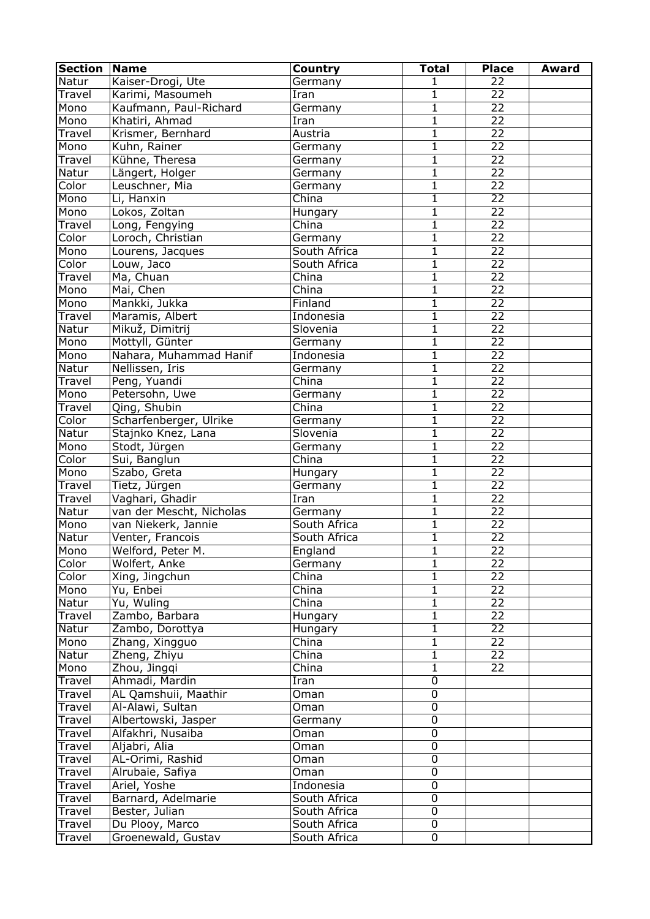| <b>Section</b> | <b>Name</b>              | Country                  | <b>Total</b>   | <b>Place</b>    | <b>Award</b> |
|----------------|--------------------------|--------------------------|----------------|-----------------|--------------|
| Natur          | Kaiser-Drogi, Ute        | Germany                  | 1              | 22              |              |
| Travel         | Karimi, Masoumeh         | Iran                     | 1              | 22              |              |
| Mono           | Kaufmann, Paul-Richard   | Germany                  | $\mathbf{1}$   | $\overline{22}$ |              |
| Mono           | Khatiri, Ahmad           | $\overline{\text{Iran}}$ | $\mathbf{1}$   | 22              |              |
| Travel         | Krismer, Bernhard        | Austria                  | 1              | $\overline{22}$ |              |
| Mono           | Kuhn, Rainer             | Germany                  | $\mathbf{1}$   | $\overline{22}$ |              |
| Travel         | Kühne, Theresa           | Germany                  | $\mathbf{1}$   | $\overline{22}$ |              |
| Natur          | Längert, Holger          | Germany                  | $\mathbf{1}$   | $\overline{22}$ |              |
| Color          | Leuschner, Mia           | Germany                  | $\mathbf{1}$   | $\overline{22}$ |              |
| Mono           | Li, Hanxin               | China                    | $\mathbf{1}$   | $\overline{22}$ |              |
| Mono           | Lokos, Zoltan            | Hungary                  | $\mathbf{1}$   | $\overline{22}$ |              |
| Travel         | Long, Fengying           | China                    | 1              | $\overline{22}$ |              |
| Color          | Loroch, Christian        | Germany                  | $\mathbf 1$    | $\overline{22}$ |              |
|                |                          | South Africa             | $\mathbf{1}$   | $\overline{22}$ |              |
| Mono           | Lourens, Jacques         |                          |                | $\overline{22}$ |              |
| Color          | Louw, Jaco               | South Africa             | $\mathbf{1}$   |                 |              |
| Travel         | Ma, Chuan                | China                    | 1              | $\overline{22}$ |              |
| Mono           | Mai, Chen                | China                    | $\mathbf{1}$   | 22              |              |
| Mono           | Mankki, Jukka            | Finland                  | $\mathbf{1}$   | $\overline{22}$ |              |
| Travel         | Maramis, Albert          | Indonesia                | 1              | $\overline{22}$ |              |
| Natur          | Mikuž, Dimitrij          | Slovenia                 | $\mathbf 1$    | $\overline{22}$ |              |
| Mono           | Mottyll, Günter          | Germany                  | 1              | $\overline{22}$ |              |
| Mono           | Nahara, Muhammad Hanif   | Indonesia                | $\mathbf{1}$   | $\overline{22}$ |              |
| Natur          | Nellissen, Iris          | Germany                  | 1              | $\overline{22}$ |              |
| Travel         | Peng, Yuandi             | China                    | $\mathbf{1}$   | $\overline{22}$ |              |
| Mono           | Petersohn, Uwe           | Germany                  | $\mathbf{1}$   | $\overline{22}$ |              |
| Travel         | Qing, Shubin             | China                    | 1              | $\overline{22}$ |              |
| Color          | Scharfenberger, Ulrike   | Germany                  | $\mathbf{1}$   | $\overline{22}$ |              |
| Natur          | Stajnko Knez, Lana       | Slovenia                 | $\mathbf{1}$   | $\overline{22}$ |              |
| Mono           | Stodt, Jürgen            | Germany                  | 1              | $\overline{22}$ |              |
| Color          | Sui, Banglun             | China                    | $\mathbf{1}$   | $\overline{22}$ |              |
| Mono           | Szabo, Greta             | Hungary                  | 1              | $\overline{22}$ |              |
| Travel         | Tietz, Jürgen            | Germany                  | $\mathbf{1}$   | $\overline{22}$ |              |
| Travel         | Vaghari, Ghadir          | Iran                     | $\mathbf{1}$   | $\overline{22}$ |              |
| Natur          | van der Mescht, Nicholas | Germany                  | $\mathbf{1}$   | $\overline{22}$ |              |
| Mono           | van Niekerk, Jannie      | South Africa             | $\mathbf{1}$   | $\overline{22}$ |              |
| Natur          | Venter, Francois         | South Africa             | $\mathbf{1}$   | $\overline{22}$ |              |
| Mono           | Welford, Peter M.        | England                  | $\overline{1}$ | 22              |              |
| Color          | Wolfert, Anke            | Germany                  | $\mathbf{1}$   | 22              |              |
| Color          | Xing, Jingchun           | China                    | 1              | 22              |              |
| Mono           | Yu, Enbei                | China                    | 1              | $\overline{22}$ |              |
|                | Yu, Wuling               | China                    |                | $\overline{22}$ |              |
| Natur          |                          |                          | 1              | $\overline{22}$ |              |
| Travel         | Zambo, Barbara           | Hungary                  | 1              |                 |              |
| Natur          | Zambo, Dorottya          | Hungary                  | 1              | $\overline{22}$ |              |
| Mono           | Zhang, Xingguo           | China                    | $\mathbf 1$    | 22              |              |
| Natur          | Zheng, Zhiyu             | China                    | $\mathbf{1}$   | 22              |              |
| Mono           | Zhou, Jingqi             | China                    | 1              | 22              |              |
| Travel         | Ahmadi, Mardin           | Iran                     | $\mathbf 0$    |                 |              |
| Travel         | AL Qamshuii, Maathir     | Oman                     | $\mathbf 0$    |                 |              |
| Travel         | Al-Alawi, Sultan         | Oman                     | 0              |                 |              |
| Travel         | Albertowski, Jasper      | Germany                  | 0              |                 |              |
| Travel         | Alfakhri, Nusaiba        | Oman                     | $\mathbf 0$    |                 |              |
| Travel         | Aljabri, Alia            | Oman                     | $\mathbf 0$    |                 |              |
| Travel         | AL-Orimi, Rashid         | Oman                     | $\mathbf 0$    |                 |              |
| Travel         | Alrubaie, Safiya         | Oman                     | $\mathbf 0$    |                 |              |
| Travel         | Ariel, Yoshe             | Indonesia                | $\mathbf 0$    |                 |              |
| Travel         | Barnard, Adelmarie       | South Africa             | $\mathbf 0$    |                 |              |
| Travel         | Bester, Julian           | South Africa             | $\mathbf 0$    |                 |              |
| Travel         | Du Plooy, Marco          | South Africa             | $\mathbf 0$    |                 |              |
| Travel         | Groenewald, Gustav       | South Africa             | 0              |                 |              |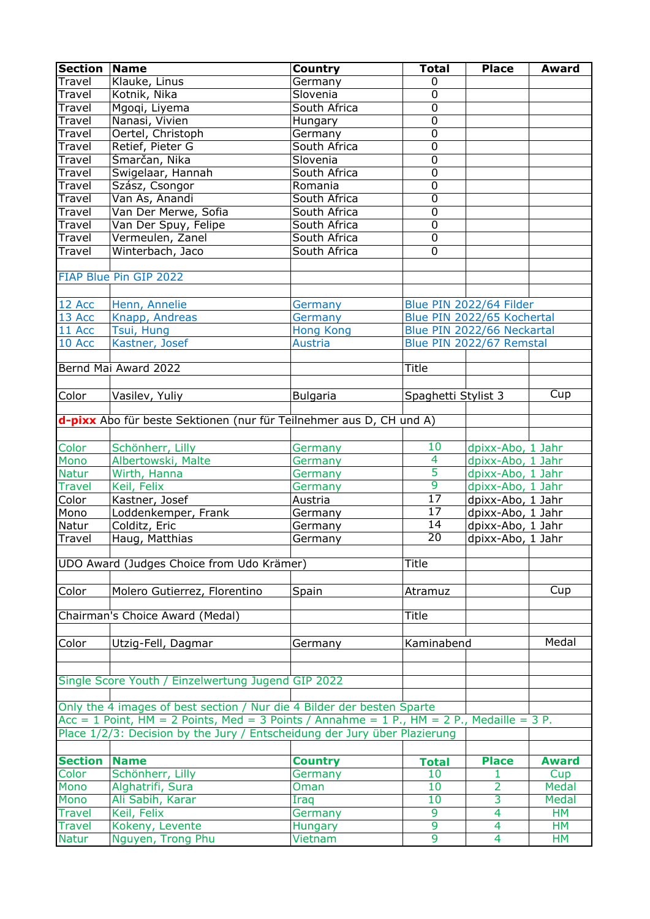| <b>Section</b> | <b>Name</b>                                                                                     | Country          | <b>Total</b>        | <b>Place</b>               | <b>Award</b> |
|----------------|-------------------------------------------------------------------------------------------------|------------------|---------------------|----------------------------|--------------|
| <b>Travel</b>  | Klauke, Linus                                                                                   | Germany          | 0                   |                            |              |
| Travel         | Kotnik, Nika                                                                                    | Slovenia         | $\mathbf 0$         |                            |              |
| Travel         | Mgoqi, Liyema                                                                                   | South Africa     | $\overline{0}$      |                            |              |
| Travel         | Nanasi, Vivien                                                                                  | Hungary          | $\overline{0}$      |                            |              |
| Travel         | Oertel, Christoph                                                                               | Germany          | $\overline{0}$      |                            |              |
| Travel         | Retief, Pieter G                                                                                | South Africa     | $\overline{0}$      |                            |              |
| Travel         | Šmarčan, Nika                                                                                   | Slovenia         | $\overline{0}$      |                            |              |
| Travel         | Swigelaar, Hannah                                                                               | South Africa     | $\overline{0}$      |                            |              |
| Travel         | Szász, Csongor                                                                                  | Romania          | $\overline{0}$      |                            |              |
| Travel         | Van As, Anandi                                                                                  | South Africa     | $\overline{0}$      |                            |              |
| Travel         | Van Der Merwe, Sofia                                                                            | South Africa     | $\overline{0}$      |                            |              |
| Travel         | Van Der Spuy, Felipe                                                                            | South Africa     | $\overline{0}$      |                            |              |
| Travel         | Vermeulen, Zanel                                                                                | South Africa     | $\mathbf 0$         |                            |              |
|                | Winterbach, Jaco                                                                                | South Africa     | $\overline{0}$      |                            |              |
| Travel         |                                                                                                 |                  |                     |                            |              |
|                |                                                                                                 |                  |                     |                            |              |
|                | FIAP Blue Pin GIP 2022                                                                          |                  |                     |                            |              |
|                |                                                                                                 |                  |                     |                            |              |
| 12 Acc         | Henn, Annelie                                                                                   | Germany          |                     | Blue PIN 2022/64 Filder    |              |
| 13 Acc         | Knapp, Andreas                                                                                  | Germany          |                     | Blue PIN 2022/65 Kochertal |              |
| 11 Acc         | Tsui, Hung                                                                                      | <b>Hong Kong</b> |                     | Blue PIN 2022/66 Neckartal |              |
| 10 Acc         | Kastner, Josef                                                                                  | <b>Austria</b>   |                     | Blue PIN 2022/67 Remstal   |              |
|                |                                                                                                 |                  |                     |                            |              |
|                | Bernd Mai Award 2022                                                                            |                  | <b>Title</b>        |                            |              |
|                |                                                                                                 |                  |                     |                            |              |
| Color          | Vasilev, Yuliy                                                                                  | <b>Bulgaria</b>  | Spaghetti Stylist 3 |                            | Cup          |
|                |                                                                                                 |                  |                     |                            |              |
|                | d-pixx Abo für beste Sektionen (nur für Teilnehmer aus D, CH und A)                             |                  |                     |                            |              |
|                |                                                                                                 |                  |                     |                            |              |
| Color          | Schönherr, Lilly                                                                                | Germany          | 10                  | dpixx-Abo, 1 Jahr          |              |
| Mono           | Albertowski, Malte                                                                              | Germany          | 4                   | dpixx-Abo, 1 Jahr          |              |
| <b>Natur</b>   | Wirth, Hanna                                                                                    | Germany          | 5                   | dpixx-Abo, 1 Jahr          |              |
| <b>Travel</b>  | Keil, Felix                                                                                     | Germany          | $\overline{9}$      | dpixx-Abo, 1 Jahr          |              |
| Color          | Kastner, Josef                                                                                  | Austria          | $\overline{17}$     | dpixx-Abo, 1 Jahr          |              |
| Mono           | Loddenkemper, Frank                                                                             | Germany          | $\overline{17}$     | dpixx-Abo, 1 Jahr          |              |
| Natur          | Colditz, Eric                                                                                   | Germany          | 14                  | dpixx-Abo, 1 Jahr          |              |
| Travel         | Haug, Matthias                                                                                  | Germany          | 20                  | dpixx-Abo, 1 Jahr          |              |
|                |                                                                                                 |                  |                     |                            |              |
|                | UDO Award (Judges Choice from Udo Krämer)                                                       |                  | Title               |                            |              |
|                |                                                                                                 |                  |                     |                            |              |
| Color          | Molero Gutierrez, Florentino                                                                    | Spain            | Atramuz             |                            | Cup          |
|                |                                                                                                 |                  |                     |                            |              |
|                | Chairman's Choice Award (Medal)                                                                 |                  | <b>Title</b>        |                            |              |
|                |                                                                                                 |                  |                     |                            |              |
| Color          | Utzig-Fell, Dagmar                                                                              | Germany          | Kaminabend          |                            | Medal        |
|                |                                                                                                 |                  |                     |                            |              |
|                |                                                                                                 |                  |                     |                            |              |
|                | Single Score Youth / Einzelwertung Jugend GIP 2022                                              |                  |                     |                            |              |
|                |                                                                                                 |                  |                     |                            |              |
|                | Only the 4 images of best section / Nur die 4 Bilder der besten Sparte                          |                  |                     |                            |              |
|                | $Acc = 1$ Point, $HM = 2$ Points, Med = 3 Points / Annahme = 1 P., $HM = 2$ P., Medaille = 3 P. |                  |                     |                            |              |
|                | Place 1/2/3: Decision by the Jury / Entscheidung der Jury über Plazierung                       |                  |                     |                            |              |
|                |                                                                                                 |                  |                     |                            |              |
| <b>Section</b> | <b>Name</b>                                                                                     |                  |                     |                            | <b>Award</b> |
|                |                                                                                                 | <b>Country</b>   | <b>Total</b>        | <b>Place</b>               |              |
| Color          | Schönherr, Lilly                                                                                | Germany          | 10                  | 1                          | Cup          |
| Mono           | Alghatrifi, Sura                                                                                | Oman             | 10                  | 2                          | <b>Medal</b> |
| Mono           | Ali Sabih, Karar                                                                                | Iraq             | 10                  | 3                          | <b>Medal</b> |
| <b>Travel</b>  | Keil, Felix                                                                                     | Germany          | 9                   | $\overline{4}$             | <b>HM</b>    |
| <b>Travel</b>  | Kokeny, Levente                                                                                 | Hungary          | 9                   | 4                          | <b>HM</b>    |
| <b>Natur</b>   | Nguyen, Trong Phu                                                                               | Vietnam          | 9                   | 4                          | <b>HM</b>    |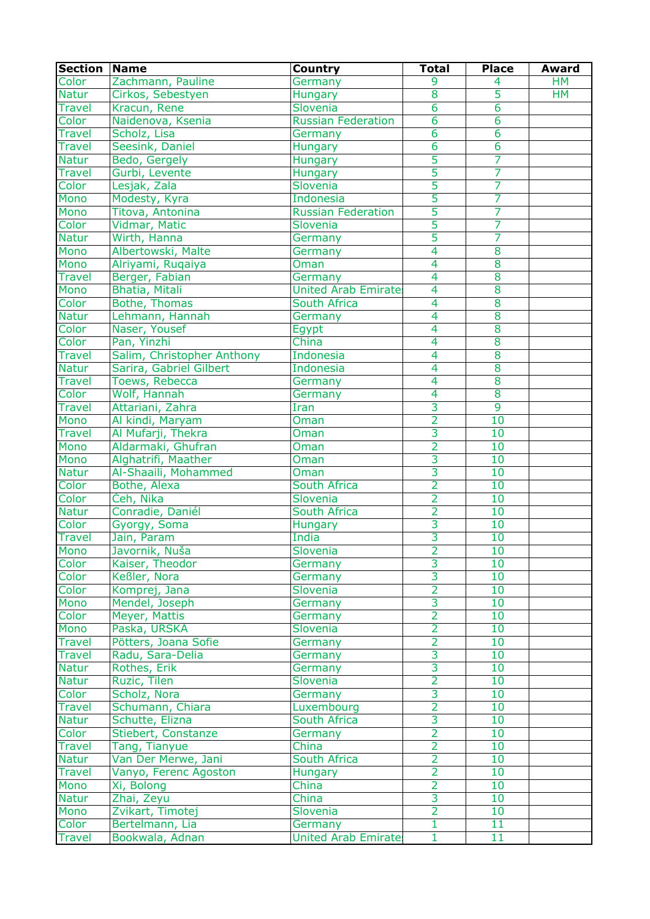| <b>Section</b> | <b>Name</b>                | Country                     | <b>Total</b>   | <b>Place</b>   | <b>Award</b> |
|----------------|----------------------------|-----------------------------|----------------|----------------|--------------|
| Color          | Zachmann, Pauline          | Germany                     | 9              | 4              | <b>HM</b>    |
| <b>Natur</b>   | Cirkos, Sebestyen          | Hungary                     | 8              | 5              | <b>HM</b>    |
| <b>Travel</b>  | Kracun, Rene               | Slovenia                    | $\overline{6}$ | $\overline{6}$ |              |
| Color          | Naidenova, Ksenia          | <b>Russian Federation</b>   | $\overline{6}$ | $\overline{6}$ |              |
| <b>Travel</b>  | Scholz, Lisa               | Germany                     | 6              | $\overline{6}$ |              |
| <b>Travel</b>  | Seesink, Daniel            | Hungary                     | 6              | $\overline{6}$ |              |
| <b>Natur</b>   | Bedo, Gergely              | Hungary                     | 5              | 7              |              |
| <b>Travel</b>  | Gurbi, Levente             | Hungary                     | $\overline{5}$ | 7              |              |
| Color          | Lesjak, Zala               | Slovenia                    | 5              | 7              |              |
| Mono           | Modesty, Kyra              | Indonesia                   | 5              | 7              |              |
| Mono           | Titova, Antonina           | <b>Russian Federation</b>   | 5              | 7              |              |
| Color          | Vidmar, Matic              | Slovenia                    | $\overline{5}$ | 7              |              |
| <b>Natur</b>   | Wirth, Hanna               | Germany                     | 5              | 7              |              |
| Mono           | Albertowski, Malte         | Germany                     | 4              | 8              |              |
| Mono           | Alriyami, Ruqaiya          | Oman                        | 4              | 8              |              |
| <b>Travel</b>  | Berger, Fabian             | Germany                     | $\overline{4}$ | 8              |              |
| Mono           | <b>Bhatia, Mitali</b>      | <b>United Arab Emirates</b> | $\overline{4}$ | $\overline{8}$ |              |
| Color          | Bothe, Thomas              | South Africa                | 4              | 8              |              |
| <b>Natur</b>   | Lehmann, Hannah            | Germany                     | 4              | 8              |              |
| Color          | Naser, Yousef              | Egypt                       | 4              | 8              |              |
| Color          | Pan, Yinzhi                | China                       | 4              | 8              |              |
| <b>Travel</b>  | Salim, Christopher Anthony | Indonesia                   | 4              | 8              |              |
| <b>Natur</b>   | Sarira, Gabriel Gilbert    | Indonesia                   | 4              | 8              |              |
| <b>Travel</b>  | Toews, Rebecca             | Germany                     | $\overline{4}$ | 8              |              |
| Color          | Wolf, Hannah               | Germany                     | $\overline{4}$ | 8              |              |
| <b>Travel</b>  | Attariani, Zahra           | Iran                        | $\overline{3}$ | 9              |              |
| Mono           | Al kindi, Maryam           | Oman                        | $\overline{2}$ | 10             |              |
| <b>Travel</b>  | Al Mufarji, Thekra         | Oman                        | $\overline{3}$ | 10             |              |
| Mono           | Aldarmaki, Ghufran         | Oman                        | $\overline{2}$ | 10             |              |
| Mono           | Alghatrifi, Maather        |                             | $\overline{3}$ | 10             |              |
| <b>Natur</b>   | Al-Shaaili, Mohammed       | Oman<br>Oman                | 3              | 10             |              |
| Color          |                            | South Africa                | $\overline{2}$ | 10             |              |
|                | Bothe, Alexa               | Slovenia                    | $\overline{2}$ | 10             |              |
| Color          | Čeh, Nika                  |                             | $\overline{2}$ |                |              |
| <b>Natur</b>   | Conradie, Daniél           | South Africa                |                | 10             |              |
| Color          | Gyorgy, Soma               | Hungary                     | $\overline{3}$ | 10             |              |
| <b>Travel</b>  | Jain, Param                | India                       | 3              | 10             |              |
| Mono           | Javornik, Nuša             | Slovenia                    | $\overline{2}$ | 10             |              |
| Color          | Kaiser, Theodor            | Germany                     | $\overline{3}$ | 10             |              |
| Color          | Keßler, Nora               | Germany                     | 3              | 10             |              |
| Color          | Komprej, Jana              | Slovenia                    | $\overline{2}$ | 10             |              |
| Mono           | Mendel, Joseph             | Germany                     | $\overline{3}$ | 10             |              |
| Color          | Meyer, Mattis              | Germany                     | $\overline{2}$ | 10             |              |
| Mono           | Paska, URŠKA               | Slovenia                    | $\overline{2}$ | 10             |              |
| <b>Travel</b>  | Pötters, Joana Sofie       | Germany                     | $\overline{2}$ | 10             |              |
| <b>Travel</b>  | Radu, Sara-Delia           | Germany                     | 3              | 10             |              |
| <b>Natur</b>   | Rothes, Erik               | Germany                     | $\overline{3}$ | 10             |              |
| <b>Natur</b>   | Ruzic, Tilen               | Slovenia                    | $\overline{2}$ | 10             |              |
| Color          | Scholz, Nora               | Germany                     | 3              | 10             |              |
| <b>Travel</b>  | Schumann, Chiara           | Luxembourg                  | $\overline{2}$ | 10             |              |
| <b>Natur</b>   | Schutte, Elizna            | South Africa                | $\overline{3}$ | 10             |              |
| Color          | Stiebert, Constanze        | Germany                     | $\overline{2}$ | 10             |              |
| <b>Travel</b>  | Tang, Tianyue              | China                       | $\overline{2}$ | 10             |              |
| <b>Natur</b>   | Van Der Merwe, Jani        | South Africa                | $\overline{2}$ | 10             |              |
| <b>Travel</b>  | Vanyo, Ferenc Agoston      | Hungary                     | $\overline{2}$ | 10             |              |
| Mono           | Xi, Bolong                 | China                       | $\overline{2}$ | 10             |              |
| <b>Natur</b>   | Zhai, Zeyu                 | China                       | 3              | 10             |              |
| Mono           | Zvikart, Timotej           | Slovenia                    | $\overline{2}$ | 10             |              |
| Color          | Bertelmann, Lia            | Germany                     | $\mathbf{1}$   | 11             |              |
| <b>Travel</b>  | Bookwala, Adnan            | <b>United Arab Emirate:</b> | $\mathbf{1}$   | 11             |              |
|                |                            |                             |                |                |              |